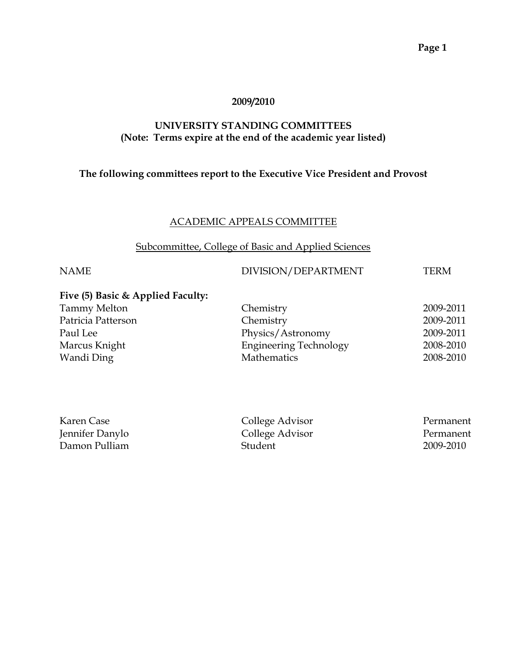#### **2009/2010**

#### **UNIVERSITY STANDING COMMITTEES (Note: Terms expire at the end of the academic year listed)**

#### **The following committees report to the Executive Vice President and Provost**

#### ACADEMIC APPEALS COMMITTEE

#### Subcommittee, College of Basic and Applied Sciences

#### NAME DIVISION/DEPARTMENT TERM

#### **Five (5) Basic & Applied Faculty:**

| Chemistry                     | 2009-2011 |
|-------------------------------|-----------|
| Chemistry                     | 2009-2011 |
| Physics/Astronomy             | 2009-2011 |
| <b>Engineering Technology</b> | 2008-2010 |
| <b>Mathematics</b>            | 2008-2010 |
|                               |           |

| Karen Case      | College Advisor | Permanent |
|-----------------|-----------------|-----------|
| Jennifer Danylo | College Advisor | Permanent |
| Damon Pulliam   | Student         | 2009-2010 |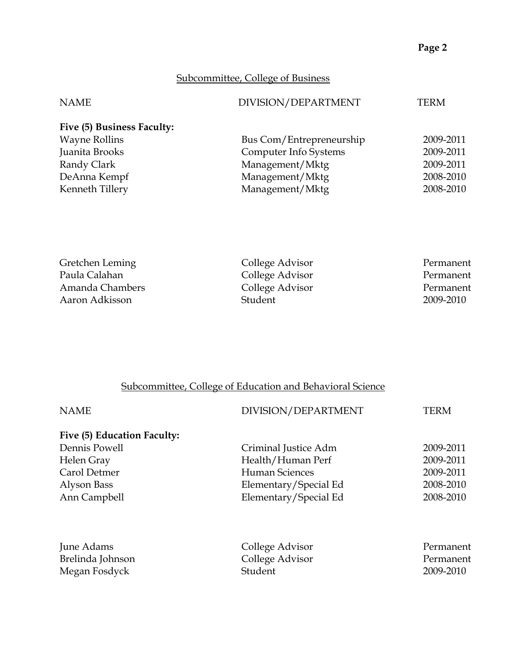#### Subcommittee, College of Business

| <b>NAME</b>                | DIVISION/DEPARTMENT      | TERM      |
|----------------------------|--------------------------|-----------|
| Five (5) Business Faculty: |                          |           |
| <b>Wayne Rollins</b>       | Bus Com/Entrepreneurship | 2009-2011 |
| Juanita Brooks             | Computer Info Systems    | 2009-2011 |
| Randy Clark                | Management/Mktg          | 2009-2011 |
| DeAnna Kempf               | Management/Mktg          | 2008-2010 |
| Kenneth Tillery            | Management/Mktg          | 2008-2010 |

| Gretchen Leming | College Advisor | Permanent |
|-----------------|-----------------|-----------|
| Paula Calahan   | College Advisor | Permanent |
| Amanda Chambers | College Advisor | Permanent |
| Aaron Adkisson  | Student         | 2009-2010 |

## Subcommittee, College of Education and Behavioral Science

| <b>NAME</b>                 | DIVISION/DEPARTMENT   | TERM      |
|-----------------------------|-----------------------|-----------|
| Five (5) Education Faculty: |                       |           |
| Dennis Powell               | Criminal Justice Adm  | 2009-2011 |
| Helen Gray                  | Health/Human Perf     | 2009-2011 |
| Carol Detmer                | <b>Human Sciences</b> | 2009-2011 |
| Alyson Bass                 | Elementary/Special Ed | 2008-2010 |
| Ann Campbell                | Elementary/Special Ed | 2008-2010 |
| June Adams                  | College Advisor       | Permanent |
| Brelinda Johnson            | College Advisor       | Permanent |
| Megan Fosdyck               | Student               | 2009-2010 |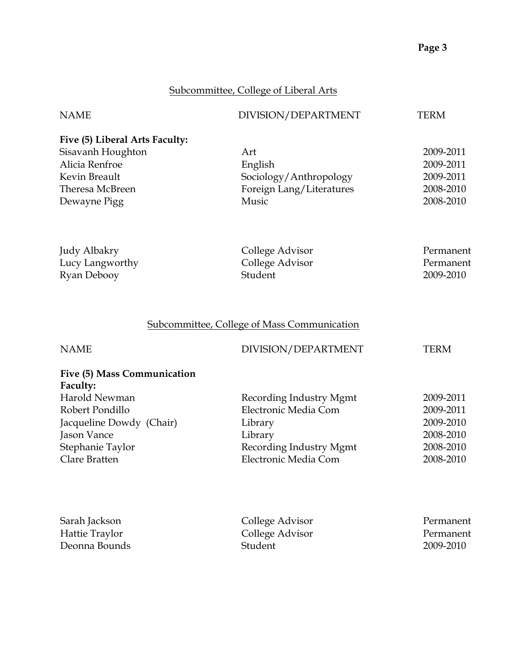#### Subcommittee, College of Liberal Arts

| <b>NAME</b>                                                                                                                                                 | DIVISION/DEPARTMENT                                                                                                      | <b>TERM</b>                                                                |
|-------------------------------------------------------------------------------------------------------------------------------------------------------------|--------------------------------------------------------------------------------------------------------------------------|----------------------------------------------------------------------------|
| Five (5) Liberal Arts Faculty:<br>Sisavanh Houghton<br>Alicia Renfroe<br>Kevin Breault<br>Theresa McBreen<br>Dewayne Pigg                                   | Art<br>English<br>Sociology/Anthropology<br>Foreign Lang/Literatures<br>Music                                            | 2009-2011<br>2009-2011<br>2009-2011<br>2008-2010<br>2008-2010              |
| Judy Albakry<br>Lucy Langworthy<br>Ryan Debooy                                                                                                              | College Advisor<br>College Advisor<br>Student                                                                            | Permanent<br>Permanent<br>2009-2010                                        |
|                                                                                                                                                             | <b>Subcommittee, College of Mass Communication</b>                                                                       |                                                                            |
| <b>NAME</b>                                                                                                                                                 | DIVISION/DEPARTMENT                                                                                                      | <b>TERM</b>                                                                |
| Five (5) Mass Communication<br>Faculty:<br>Harold Newman<br>Robert Pondillo<br>Jacqueline Dowdy (Chair)<br>Jason Vance<br>Stephanie Taylor<br>Clare Bratten | Recording Industry Mgmt<br>Electronic Media Com<br>Library<br>Library<br>Recording Industry Mgmt<br>Electronic Media Com | 2009-2011<br>2009-2011<br>2009-2010<br>2008-2010<br>2008-2010<br>2008-2010 |
| Sarah Jackson<br>Hattie Traylor<br>Deonna Bounds                                                                                                            | College Advisor<br>College Advisor<br>Student                                                                            | Permanent<br>Permanent<br>2009-2010                                        |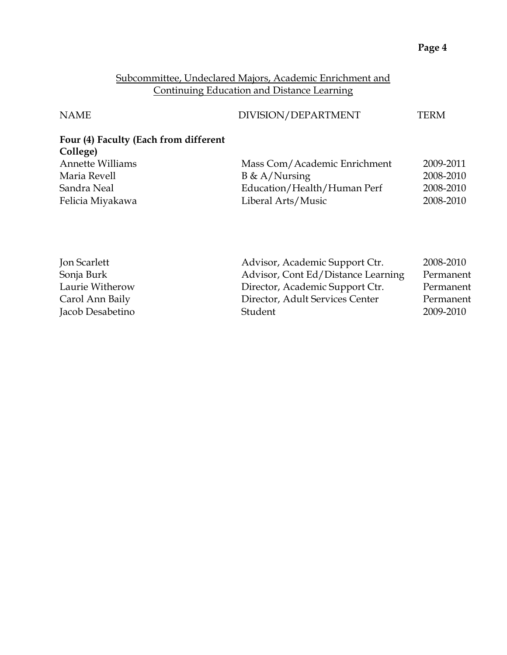#### Subcommittee, Undeclared Majors, Academic Enrichment and Continuing Education and Distance Learning

| <b>NAME</b>                           | DIVISION/DEPARTMENT          | TERM      |
|---------------------------------------|------------------------------|-----------|
| Four (4) Faculty (Each from different |                              |           |
| College)                              |                              |           |
| <b>Annette Williams</b>               | Mass Com/Academic Enrichment | 2009-2011 |
| Maria Revell                          | $B \& A/Nursing$             | 2008-2010 |
| Sandra Neal                           | Education/Health/Human Perf  | 2008-2010 |
| Felicia Miyakawa                      | Liberal Arts/Music           | 2008-2010 |
|                                       |                              |           |
|                                       |                              |           |
|                                       |                              |           |

| Advisor, Academic Support Ctr.     | 2008-2010 |
|------------------------------------|-----------|
| Advisor, Cont Ed/Distance Learning | Permanent |
| Director, Academic Support Ctr.    | Permanent |
| Director, Adult Services Center    | Permanent |
| Student                            | 2009-2010 |
|                                    |           |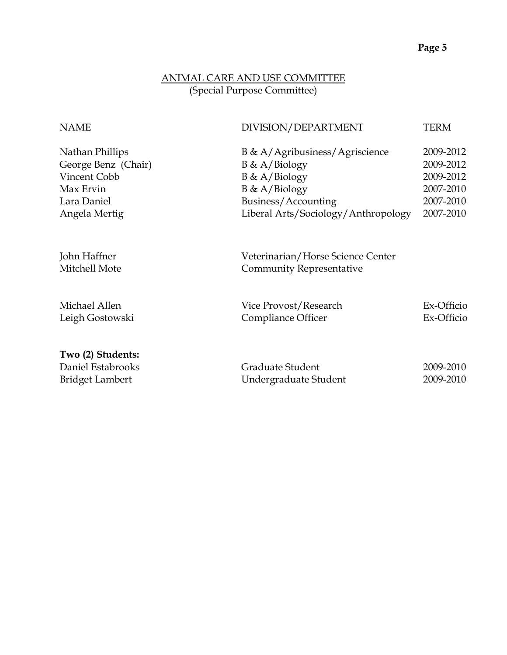#### ANIMAL CARE AND USE COMMITTEE (Special Purpose Committee)

| <b>NAME</b>                                                                                         | DIVISION/DEPARTMENT                                                                                                                                      | <b>TERM</b>                                                                |
|-----------------------------------------------------------------------------------------------------|----------------------------------------------------------------------------------------------------------------------------------------------------------|----------------------------------------------------------------------------|
| Nathan Phillips<br>George Benz (Chair)<br>Vincent Cobb<br>Max Ervin<br>Lara Daniel<br>Angela Mertig | B & A/Agribusiness/Agriscience<br>$B \& A/Biology$<br>$B \& A/Biology$<br>$B \& A/Biology$<br>Business/Accounting<br>Liberal Arts/Sociology/Anthropology | 2009-2012<br>2009-2012<br>2009-2012<br>2007-2010<br>2007-2010<br>2007-2010 |
| John Haffner<br>Mitchell Mote                                                                       | Veterinarian/Horse Science Center<br><b>Community Representative</b>                                                                                     |                                                                            |
| Michael Allen<br>Leigh Gostowski                                                                    | Vice Provost/Research<br>Compliance Officer                                                                                                              | Ex-Officio<br>Ex-Officio                                                   |
| Two (2) Students:<br>Daniel Estabrooks<br><b>Bridget Lambert</b>                                    | Graduate Student<br>Undergraduate Student                                                                                                                | 2009-2010<br>2009-2010                                                     |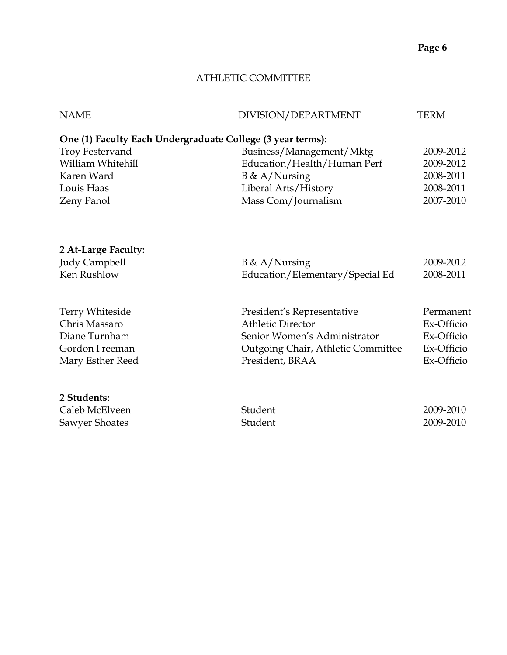#### ATHLETIC COMMITTEE

| <b>NAME</b>            | DIVISION/DEPARTMENT                                        | <b>TERM</b> |
|------------------------|------------------------------------------------------------|-------------|
|                        | One (1) Faculty Each Undergraduate College (3 year terms): |             |
| <b>Troy Festervand</b> | Business/Management/Mktg                                   | 2009-2012   |
| William Whitehill      | Education/Health/Human Perf                                | 2009-2012   |
| Karen Ward             | $B \& A/Nursing$                                           | 2008-2011   |
| Louis Haas             | Liberal Arts/History                                       | 2008-2011   |
| Zeny Panol             | Mass Com/Journalism                                        | 2007-2010   |
|                        |                                                            |             |
| 2 At-Large Faculty:    |                                                            |             |
| <b>Judy Campbell</b>   | $B \& A/Nursing$                                           | 2009-2012   |
| Ken Rushlow            | Education/Elementary/Special Ed                            | 2008-2011   |
| Terry Whiteside        | President's Representative                                 | Permanent   |
| Chris Massaro          | <b>Athletic Director</b>                                   | Ex-Officio  |
| Diane Turnham          | Senior Women's Administrator                               | Ex-Officio  |
| Gordon Freeman         | Outgoing Chair, Athletic Committee                         | Ex-Officio  |
| Mary Esther Reed       | President, BRAA                                            | Ex-Officio  |
| 2 Students:            |                                                            |             |
| Caleb McElveen         | Student                                                    | 2009-2010   |
| <b>Sawyer Shoates</b>  | Student                                                    | 2009-2010   |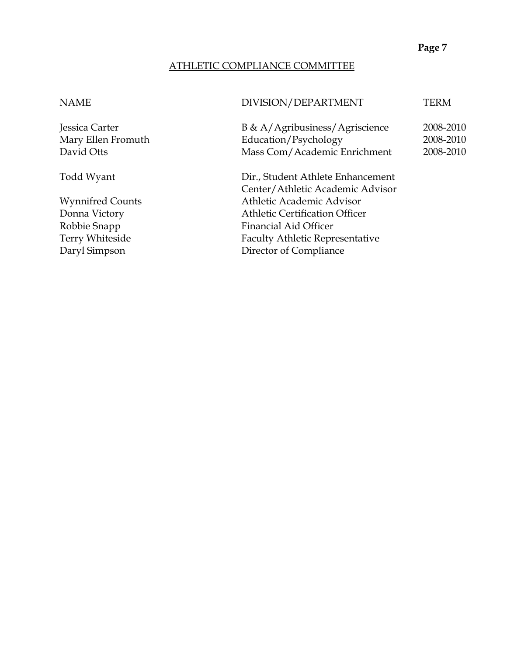#### ATHLETIC COMPLIANCE COMMITTEE

#### NAME DIVISION/DEPARTMENT TERM

Jessica Carter B & A/Agribusiness/Agriscience 2008-2010 Mary Ellen Fromuth Education/Psychology 2008-2010 David Otts Mass Com/Academic Enrichment 2008-2010

Todd Wyant Dir., Student Athlete Enhancement Center/Athletic Academic Advisor Wynnifred Counts Athletic Academic Advisor Donna Victory Athletic Certification Officer Robbie Snapp Financial Aid Officer Terry Whiteside Faculty Athletic Representative Daryl Simpson Director of Compliance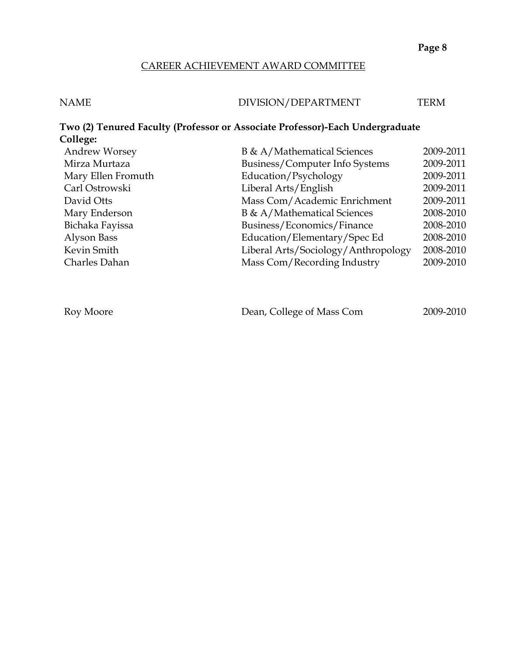#### CAREER ACHIEVEMENT AWARD COMMITTEE

| <b>NAME</b> | DIVISION/DEPARTMENT | TERM |
|-------------|---------------------|------|
|             |                     |      |

#### **Two (2) Tenured Faculty (Professor or Associate Professor)-Each Undergraduate College:** Andrew Worsey B & A/Mathematical Sciences 2009-2011 Mirza Murtaza Business/Computer Info Systems 2009-2011 Mary Ellen Fromuth **Education/Psychology** 2009-2011

| Roy Moore | Dean, College of Mass Com | 2009-2010 |
|-----------|---------------------------|-----------|

Carl Ostrowski Liberal Arts/English 2009-2011 David Otts Mass Com/Academic Enrichment 2009-2011 Mary Enderson B & A/Mathematical Sciences 2008-2010 Bichaka Fayissa Business/Economics/Finance 2008-2010 Alyson Bass Education/Elementary/Spec Ed 2008-2010 Kevin Smith Liberal Arts/Sociology/Anthropology 2008-2010 Charles Dahan Mass Com/Recording Industry 2009-2010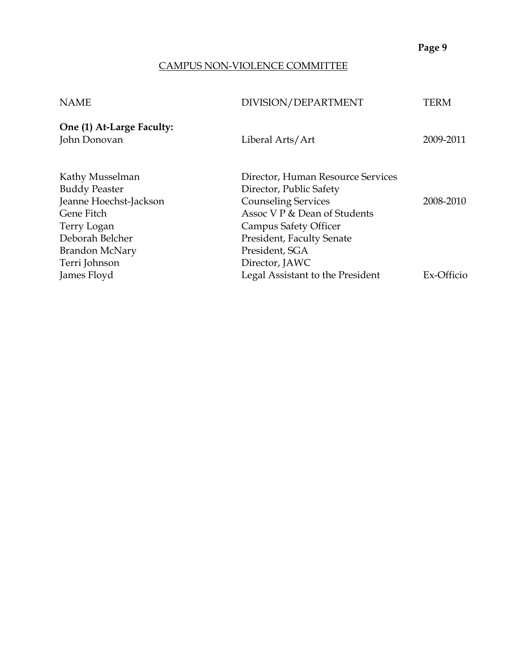#### CAMPUS NON-VIOLENCE COMMITTEE

| <b>NAME</b>                               | DIVISION/DEPARTMENT               | TERM       |
|-------------------------------------------|-----------------------------------|------------|
| One (1) At-Large Faculty:<br>John Donovan | Liberal Arts/Art                  | 2009-2011  |
|                                           |                                   |            |
| Kathy Musselman                           | Director, Human Resource Services |            |
| <b>Buddy Peaster</b>                      | Director, Public Safety           |            |
| Jeanne Hoechst-Jackson                    | <b>Counseling Services</b>        | 2008-2010  |
| Gene Fitch                                | Assoc V P & Dean of Students      |            |
| Terry Logan                               | <b>Campus Safety Officer</b>      |            |
| Deborah Belcher                           | <b>President, Faculty Senate</b>  |            |
| <b>Brandon McNary</b>                     | President, SGA                    |            |
| Terri Johnson                             | Director, JAWC                    |            |
| James Floyd                               | Legal Assistant to the President  | Ex-Officio |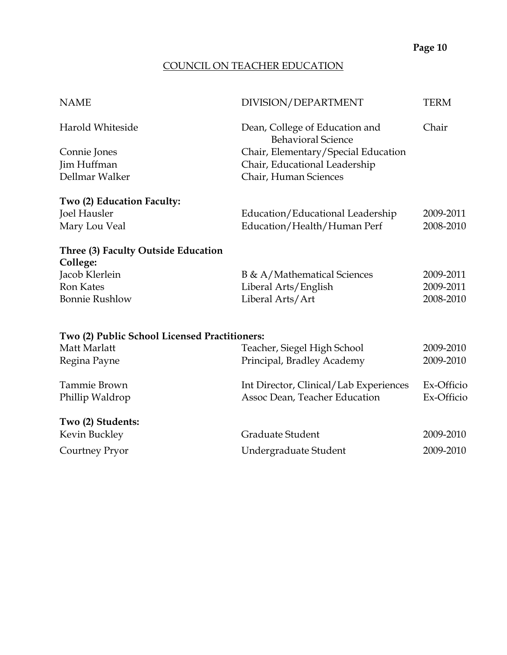# COUNCIL ON TEACHER EDUCATION

| <b>NAME</b>                                   | DIVISION/DEPARTMENT                                         | <b>TERM</b> |
|-----------------------------------------------|-------------------------------------------------------------|-------------|
| Harold Whiteside                              | Dean, College of Education and<br><b>Behavioral Science</b> | Chair       |
| Connie Jones                                  | Chair, Elementary/Special Education                         |             |
| Jim Huffman                                   | Chair, Educational Leadership                               |             |
| Dellmar Walker                                | Chair, Human Sciences                                       |             |
| Two (2) Education Faculty:                    |                                                             |             |
| Joel Hausler                                  | Education/Educational Leadership                            | 2009-2011   |
| Mary Lou Veal                                 | Education/Health/Human Perf                                 | 2008-2010   |
| Three (3) Faculty Outside Education           |                                                             |             |
| College:                                      |                                                             |             |
| Jacob Klerlein                                | B & A/Mathematical Sciences                                 | 2009-2011   |
| <b>Ron Kates</b>                              | Liberal Arts/English                                        | 2009-2011   |
| <b>Bonnie Rushlow</b>                         | Liberal Arts/Art                                            | 2008-2010   |
| Two (2) Public School Licensed Practitioners: |                                                             |             |
| Matt Marlatt                                  | Teacher, Siegel High School                                 | 2009-2010   |
| Regina Payne                                  | Principal, Bradley Academy                                  | 2009-2010   |
|                                               |                                                             |             |
| Tammie Brown                                  | Int Director, Clinical/Lab Experiences                      | Ex-Officio  |
| Phillip Waldrop                               | Assoc Dean, Teacher Education                               | Ex-Officio  |
| Two (2) Students:                             |                                                             |             |
| Kevin Buckley                                 | <b>Graduate Student</b>                                     | 2009-2010   |
| Courtney Pryor                                | Undergraduate Student                                       | 2009-2010   |
|                                               |                                                             |             |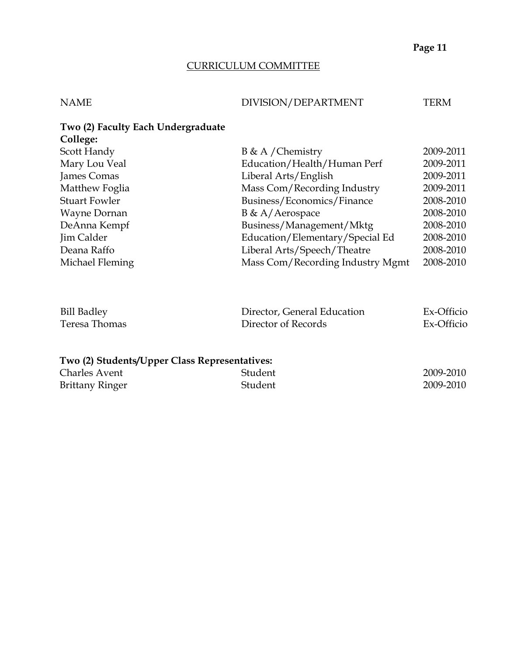#### CURRICULUM COMMITTEE

#### NAME DIVISION/DEPARTMENT TERM

| Two (2) Faculty Each Undergraduate<br>College: |                                  |           |
|------------------------------------------------|----------------------------------|-----------|
|                                                |                                  | 2009-2011 |
| Scott Handy                                    | $B \& A /$ Chemistry             |           |
| Mary Lou Veal                                  | Education/Health/Human Perf      | 2009-2011 |
| James Comas                                    | Liberal Arts/English             | 2009-2011 |
| Matthew Foglia                                 | Mass Com/Recording Industry      | 2009-2011 |
| <b>Stuart Fowler</b>                           | Business/Economics/Finance       | 2008-2010 |
| Wayne Dornan                                   | $B \& A/Aerospace$               | 2008-2010 |
| DeAnna Kempf                                   | Business/Management/Mktg         | 2008-2010 |
| Jim Calder                                     | Education/Elementary/Special Ed  | 2008-2010 |
| Deana Raffo                                    | Liberal Arts/Speech/Theatre      | 2008-2010 |
| Michael Fleming                                | Mass Com/Recording Industry Mgmt | 2008-2010 |
|                                                |                                  |           |

| <b>Bill Badley</b> | Director, General Education | Ex-Officio |
|--------------------|-----------------------------|------------|
| Teresa Thomas      | Director of Records         | Ex-Officio |

#### **Two (2) Students/Upper Class Representatives:**

| <b>Charles Avent</b>   | Student | 2009-2010 |
|------------------------|---------|-----------|
| <b>Brittany Ringer</b> | Student | 2009-2010 |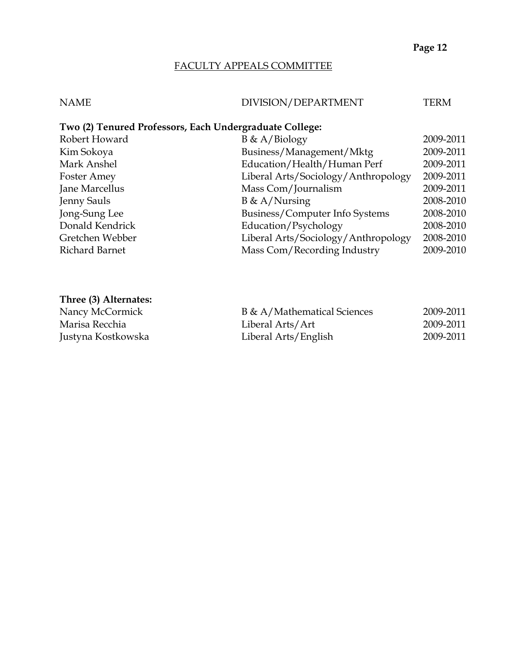#### FACULTY APPEALS COMMITTEE

#### NAME DIVISION/DEPARTMENT TERM

#### **Two (2) Tenured Professors, Each Undergraduate College:**

| Robert Howard      | $B \& A/Biology$                    | 2009-2011 |
|--------------------|-------------------------------------|-----------|
| Kim Sokoya         | Business/Management/Mktg            | 2009-2011 |
| Mark Anshel        | Education/Health/Human Perf         | 2009-2011 |
| <b>Foster Amey</b> | Liberal Arts/Sociology/Anthropology | 2009-2011 |
| Jane Marcellus     | Mass Com/Journalism                 | 2009-2011 |
| Jenny Sauls        | $B \& A/Nursing$                    | 2008-2010 |
| Jong-Sung Lee      | Business/Computer Info Systems      | 2008-2010 |
| Donald Kendrick    | Education/Psychology                | 2008-2010 |
| Gretchen Webber    | Liberal Arts/Sociology/Anthropology | 2008-2010 |
| Richard Barnet     | Mass Com/Recording Industry         | 2009-2010 |

#### **Three (3) Alternates:**

Nancy McCormick Marisa Recchia Justyna Kostkowska

| B & A/Mathematical Sciences | 2009-2011 |
|-----------------------------|-----------|
| Liberal Arts/Art            | 2009-2011 |
| Liberal Arts/English        | 2009-2011 |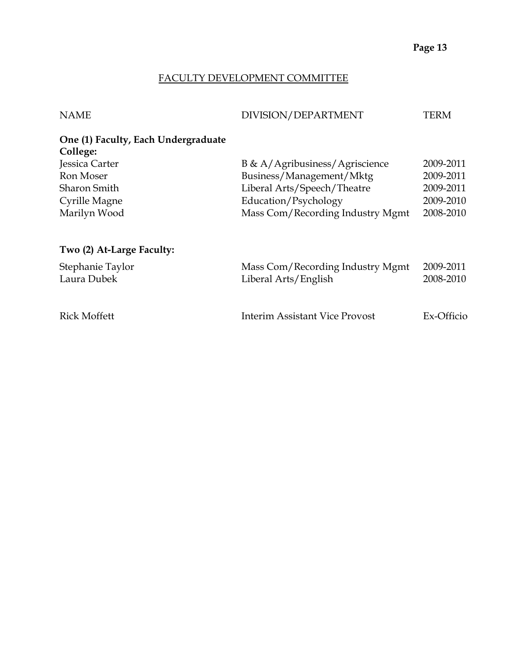#### FACULTY DEVELOPMENT COMMITTEE

| DIVISION/DEPARTMENT              | TERM                                                                                                                          |
|----------------------------------|-------------------------------------------------------------------------------------------------------------------------------|
|                                  |                                                                                                                               |
|                                  | 2009-2011                                                                                                                     |
|                                  | 2009-2011                                                                                                                     |
|                                  | 2009-2011                                                                                                                     |
| Education/Psychology             | 2009-2010                                                                                                                     |
| Mass Com/Recording Industry Mgmt | 2008-2010                                                                                                                     |
|                                  |                                                                                                                               |
|                                  | 2009-2011                                                                                                                     |
| Liberal Arts/English             | 2008-2010                                                                                                                     |
| Interim Assistant Vice Provost   | Ex-Officio                                                                                                                    |
|                                  | B & A/Agribusiness/Agriscience<br>Business/Management/Mktg<br>Liberal Arts/Speech/Theatre<br>Mass Com/Recording Industry Mgmt |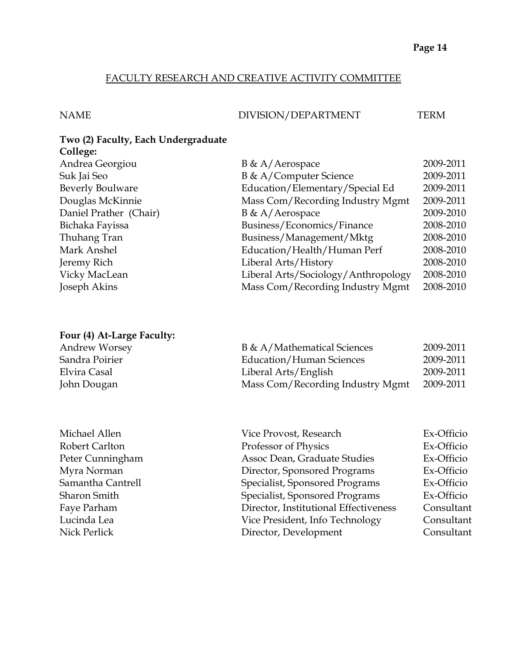#### FACULTY RESEARCH AND CREATIVE ACTIVITY COMMITTEE

#### NAME DIVISION/DEPARTMENT TERM

#### **Two (2) Faculty, Each Undergraduate College:**

| $B \& A/Aerospace$                  | 2009-2011 |
|-------------------------------------|-----------|
| B & A/Computer Science              | 2009-2011 |
| Education/Elementary/Special Ed     | 2009-2011 |
| Mass Com/Recording Industry Mgmt    | 2009-2011 |
| $B \& A/Aerospace$                  | 2009-2010 |
| Business/Economics/Finance          | 2008-2010 |
| Business/Management/Mktg            | 2008-2010 |
| Education/Health/Human Perf         | 2008-2010 |
| Liberal Arts/History                | 2008-2010 |
| Liberal Arts/Sociology/Anthropology | 2008-2010 |
| Mass Com/Recording Industry Mgmt    | 2008-2010 |
|                                     |           |

#### **Four (4) At-Large Faculty:**

| Andrew Worsey  | B & A/Mathematical Sciences      | 2009-2011 |
|----------------|----------------------------------|-----------|
| Sandra Poirier | Education/Human Sciences         | 2009-2011 |
| Elvira Casal   | Liberal Arts/English             | 2009-2011 |
| John Dougan    | Mass Com/Recording Industry Mgmt | 2009-2011 |

Michael Allen Robert Carlton Peter Cunningham Myra Norman Samantha Cantrell Sharon Smith Lucinda Lea Vice President, Info Technology Consultant Nick Perlick **Director, Development** Consultant

| John Dougan       | Mass Com/Recording Industry Mgmt      | 2009-2011  |
|-------------------|---------------------------------------|------------|
|                   |                                       |            |
| Michael Allen     | Vice Provost, Research                | Ex-Officio |
| Robert Carlton    | Professor of Physics                  | Ex-Officio |
| Peter Cunningham  | Assoc Dean, Graduate Studies          | Ex-Officio |
| Myra Norman       | Director, Sponsored Programs          | Ex-Officio |
| Samantha Cantrell | Specialist, Sponsored Programs        | Ex-Officio |
| Sharon Smith      | Specialist, Sponsored Programs        | Ex-Officio |
| Faye Parham       | Director, Institutional Effectiveness | Consultant |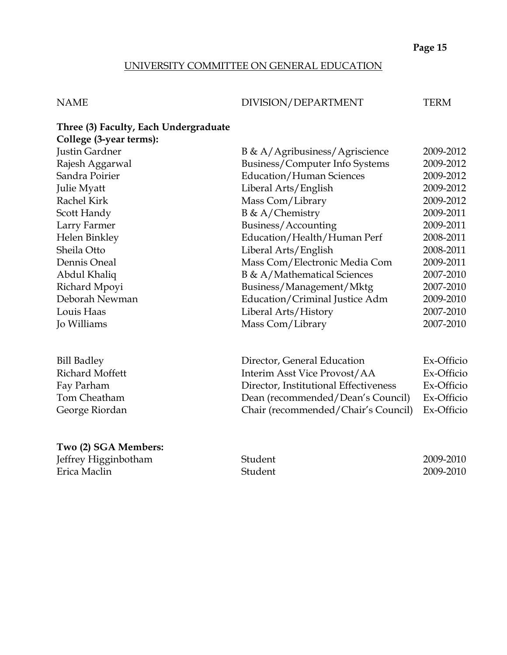#### UNIVERSITY COMMITTEE ON GENERAL EDUCATION

#### NAME DIVISION/DEPARTMENT TERM

#### **Three (3) Faculty, Each Undergraduate College (3-year terms):**

| $\epsilon$      |                                 |           |
|-----------------|---------------------------------|-----------|
| Justin Gardner  | B & A/Agribusiness/Agriscience  | 2009-2012 |
| Rajesh Aggarwal | Business/Computer Info Systems  | 2009-2012 |
| Sandra Poirier  | <b>Education/Human Sciences</b> | 2009-2012 |
| Julie Myatt     | Liberal Arts/English            | 2009-2012 |
| Rachel Kirk     | Mass Com/Library                | 2009-2012 |
| Scott Handy     | $B \& A/Chemistry$              | 2009-2011 |
| Larry Farmer    | Business/Accounting             | 2009-2011 |
| Helen Binkley   | Education/Health/Human Perf     | 2008-2011 |
| Sheila Otto     | Liberal Arts/English            | 2008-2011 |
| Dennis Oneal    | Mass Com/Electronic Media Com   | 2009-2011 |
| Abdul Khaliq    | B & A/Mathematical Sciences     | 2007-2010 |
| Richard Mpoyi   | Business/Management/Mktg        | 2007-2010 |
| Deborah Newman  | Education/Criminal Justice Adm  | 2009-2010 |
| Louis Haas      | Liberal Arts/History            | 2007-2010 |
| Jo Williams     | Mass Com/Library                | 2007-2010 |
|                 |                                 |           |

| <b>Bill Badley</b> | Director, General Education           | Ex-Officio |
|--------------------|---------------------------------------|------------|
| Richard Moffett    | Interim Asst Vice Provost/AA          | Ex-Officio |
| Fay Parham         | Director, Institutional Effectiveness | Ex-Officio |
| Tom Cheatham       | Dean (recommended/Dean's Council)     | Ex-Officio |
| George Riordan     | Chair (recommended/Chair's Council)   | Ex-Officio |
|                    |                                       |            |

#### **Two (2) SGA Members:**

Jeffrey Higginbotham Student 2009-2010 Erica Maclin Student 2009-2010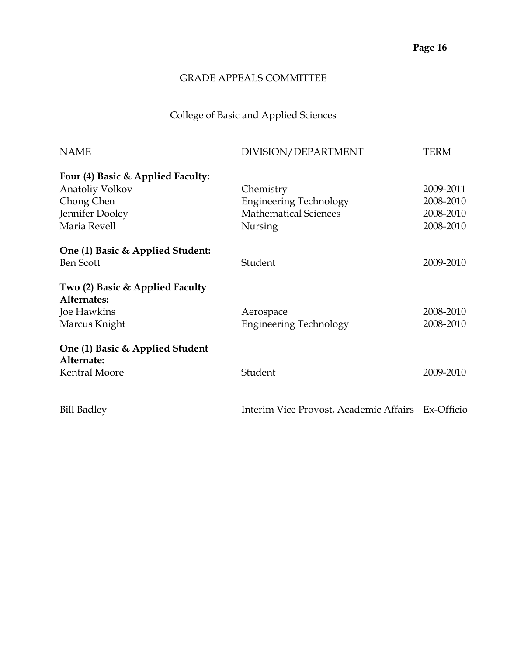## College of Basic and Applied Sciences

| <b>NAME</b>                                    | DIVISION/DEPARTMENT                               | <b>TERM</b> |
|------------------------------------------------|---------------------------------------------------|-------------|
| Four (4) Basic & Applied Faculty:              |                                                   |             |
| Anatoliy Volkov                                | Chemistry                                         | 2009-2011   |
| Chong Chen                                     | <b>Engineering Technology</b>                     | 2008-2010   |
| Jennifer Dooley                                | <b>Mathematical Sciences</b>                      | 2008-2010   |
| Maria Revell                                   | Nursing                                           | 2008-2010   |
| One (1) Basic & Applied Student:               |                                                   |             |
| <b>Ben Scott</b>                               | Student                                           | 2009-2010   |
| Two (2) Basic & Applied Faculty<br>Alternates: |                                                   |             |
| Joe Hawkins                                    | Aerospace                                         | 2008-2010   |
| Marcus Knight                                  | <b>Engineering Technology</b>                     | 2008-2010   |
| One (1) Basic & Applied Student<br>Alternate:  |                                                   |             |
| <b>Kentral Moore</b>                           | Student                                           | 2009-2010   |
|                                                |                                                   |             |
| <b>Bill Badley</b>                             | Interim Vice Provost, Academic Affairs Ex-Officio |             |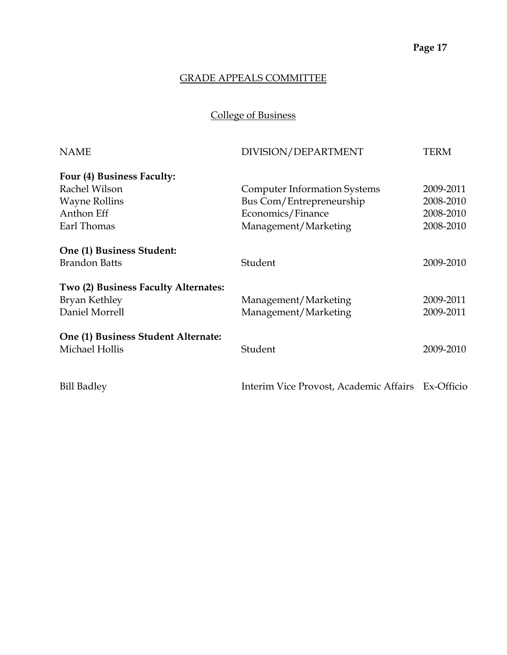College of Business

| <b>NAME</b>                          | DIVISION/DEPARTMENT                               | <b>TERM</b> |
|--------------------------------------|---------------------------------------------------|-------------|
| Four (4) Business Faculty:           |                                                   |             |
| Rachel Wilson                        | <b>Computer Information Systems</b>               | 2009-2011   |
| <b>Wayne Rollins</b>                 | Bus Com/Entrepreneurship                          | 2008-2010   |
| Anthon Eff                           | Economics/Finance                                 | 2008-2010   |
| Earl Thomas                          | Management/Marketing                              | 2008-2010   |
| One (1) Business Student:            |                                                   |             |
| <b>Brandon Batts</b>                 | Student                                           | 2009-2010   |
| Two (2) Business Faculty Alternates: |                                                   |             |
| <b>Bryan Kethley</b>                 | Management/Marketing                              | 2009-2011   |
| Daniel Morrell                       | Management/Marketing                              | 2009-2011   |
| One (1) Business Student Alternate:  |                                                   |             |
| Michael Hollis                       | Student                                           | 2009-2010   |
| <b>Bill Badley</b>                   | Interim Vice Provost, Academic Affairs Ex-Officio |             |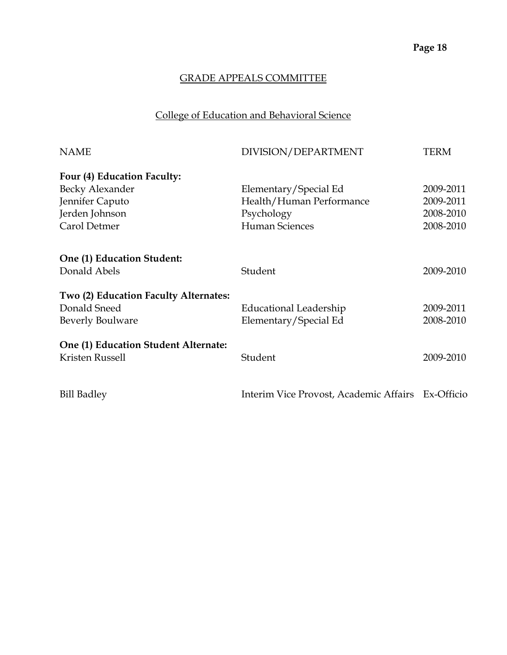## College of Education and Behavioral Science

| <b>NAME</b>                           | DIVISION/DEPARTMENT                               | <b>TERM</b> |
|---------------------------------------|---------------------------------------------------|-------------|
| Four (4) Education Faculty:           |                                                   |             |
| Becky Alexander                       | Elementary/Special Ed                             | 2009-2011   |
| Jennifer Caputo                       | Health/Human Performance                          | 2009-2011   |
| Jerden Johnson                        | Psychology                                        | 2008-2010   |
| Carol Detmer                          | <b>Human Sciences</b>                             | 2008-2010   |
| One (1) Education Student:            |                                                   |             |
| Donald Abels                          | Student                                           | 2009-2010   |
| Two (2) Education Faculty Alternates: |                                                   |             |
| Donald Sneed                          | Educational Leadership                            | 2009-2011   |
| <b>Beverly Boulware</b>               | Elementary/Special Ed                             | 2008-2010   |
| One (1) Education Student Alternate:  |                                                   |             |
| Kristen Russell                       | Student                                           | 2009-2010   |
| <b>Bill Badley</b>                    | Interim Vice Provost, Academic Affairs Ex-Officio |             |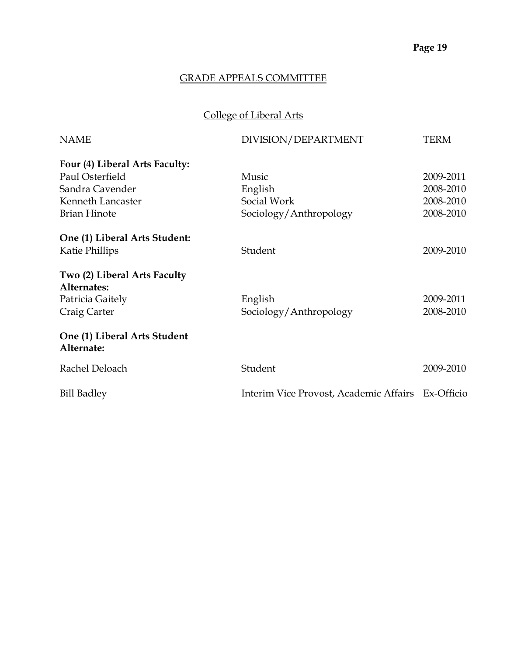## College of Liberal Arts

| <b>NAME</b>                                 | DIVISION/DEPARTMENT                               | <b>TERM</b> |
|---------------------------------------------|---------------------------------------------------|-------------|
| Four (4) Liberal Arts Faculty:              |                                                   |             |
| Paul Osterfield                             | Music                                             | 2009-2011   |
| Sandra Cavender                             | English                                           | 2008-2010   |
| Kenneth Lancaster                           | Social Work                                       | 2008-2010   |
| <b>Brian Hinote</b>                         | Sociology/Anthropology                            | 2008-2010   |
| One (1) Liberal Arts Student:               |                                                   |             |
| Katie Phillips                              | Student                                           | 2009-2010   |
| Two (2) Liberal Arts Faculty<br>Alternates: |                                                   |             |
| Patricia Gaitely                            | English                                           | 2009-2011   |
| Craig Carter                                | Sociology/Anthropology                            | 2008-2010   |
| One (1) Liberal Arts Student<br>Alternate:  |                                                   |             |
| Rachel Deloach                              | Student                                           | 2009-2010   |
| <b>Bill Badley</b>                          | Interim Vice Provost, Academic Affairs Ex-Officio |             |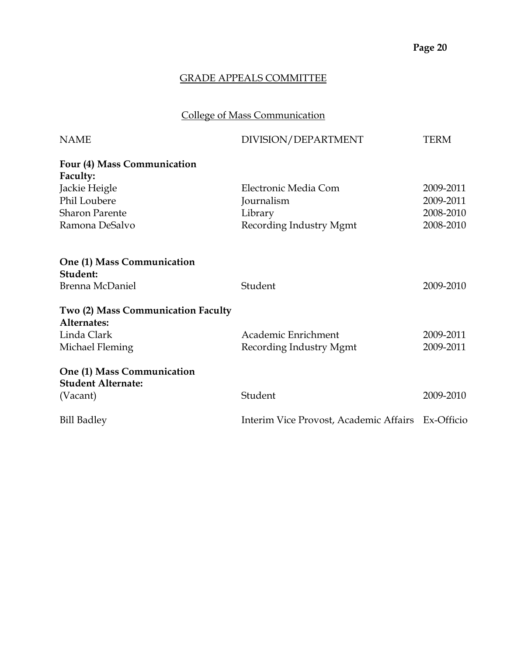## College of Mass Communication

| <b>NAME</b>                                             | DIVISION/DEPARTMENT                               | <b>TERM</b> |
|---------------------------------------------------------|---------------------------------------------------|-------------|
| Four (4) Mass Communication                             |                                                   |             |
| Faculty:                                                |                                                   |             |
| Jackie Heigle                                           | Electronic Media Com                              | 2009-2011   |
| Phil Loubere                                            | Journalism                                        | 2009-2011   |
| <b>Sharon Parente</b>                                   | Library                                           | 2008-2010   |
| Ramona DeSalvo                                          | Recording Industry Mgmt                           | 2008-2010   |
| One (1) Mass Communication<br>Student:                  |                                                   |             |
| Brenna McDaniel                                         | Student                                           | 2009-2010   |
| Two (2) Mass Communication Faculty<br>Alternates:       |                                                   |             |
| Linda Clark                                             | Academic Enrichment                               | 2009-2011   |
| Michael Fleming                                         | Recording Industry Mgmt                           | 2009-2011   |
| One (1) Mass Communication<br><b>Student Alternate:</b> |                                                   |             |
| (Vacant)                                                | Student                                           | 2009-2010   |
| <b>Bill Badley</b>                                      | Interim Vice Provost, Academic Affairs Ex-Officio |             |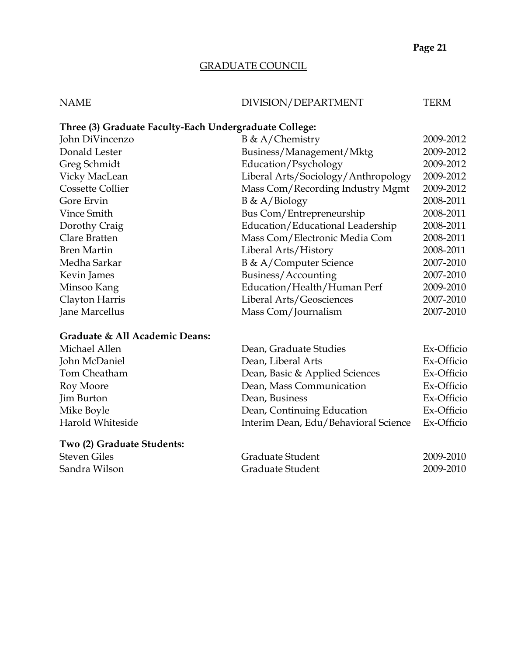#### GRADUATE COUNCIL

#### NAME DIVISION/DEPARTMENT TERM

#### **Three (3) Graduate Faculty-Each Undergraduate College:**

| John DiVincenzo         | $B \& A/Chemistry$                  | 2009-2012 |
|-------------------------|-------------------------------------|-----------|
| Donald Lester           | Business/Management/Mktg            | 2009-2012 |
| Greg Schmidt            | Education/Psychology                | 2009-2012 |
| Vicky MacLean           | Liberal Arts/Sociology/Anthropology | 2009-2012 |
| <b>Cossette Collier</b> | Mass Com/Recording Industry Mgmt    | 2009-2012 |
| Gore Ervin              | $B \& A/Biology$                    | 2008-2011 |
| Vince Smith             | Bus Com/Entrepreneurship            | 2008-2011 |
| Dorothy Craig           | Education/Educational Leadership    | 2008-2011 |
| Clare Bratten           | Mass Com/Electronic Media Com       | 2008-2011 |
| <b>Bren Martin</b>      | Liberal Arts/History                | 2008-2011 |
| Medha Sarkar            | B & A/Computer Science              | 2007-2010 |
| Kevin James             | Business/Accounting                 | 2007-2010 |
| Minsoo Kang             | Education/Health/Human Perf         | 2009-2010 |
| Clayton Harris          | Liberal Arts/Geosciences            | 2007-2010 |
| Jane Marcellus          | Mass Com/Journalism                 | 2007-2010 |
|                         |                                     |           |

#### **Graduate & All Academic Deans:**

| Michael Allen     | Dean, Graduate Studies               | Ex-Officio |
|-------------------|--------------------------------------|------------|
| John McDaniel     | Dean, Liberal Arts                   | Ex-Officio |
| Tom Cheatham      | Dean, Basic & Applied Sciences       | Ex-Officio |
| Roy Moore         | Dean, Mass Communication             | Ex-Officio |
| <b>Jim Burton</b> | Dean, Business                       | Ex-Officio |
| Mike Boyle        | Dean, Continuing Education           | Ex-Officio |
| Harold Whiteside  | Interim Dean, Edu/Behavioral Science | Ex-Officio |
|                   |                                      |            |

**Two (2) Graduate Students:** Graduate Student 2009-2010 Sandra Wilson **Graduate Student** 2009-2010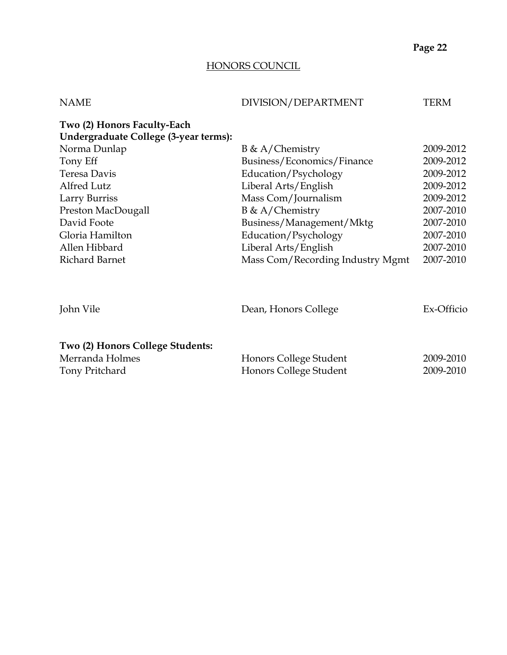#### HONORS COUNCIL

| <b>NAME</b>                                                           | DIVISION/DEPARTMENT                              | TERM                   |
|-----------------------------------------------------------------------|--------------------------------------------------|------------------------|
| Two (2) Honors Faculty-Each<br>Undergraduate College (3-year terms):  |                                                  |                        |
| Norma Dunlap                                                          | $B \& A/Chemistry$                               | 2009-2012              |
| Tony Eff                                                              | Business/Economics/Finance                       | 2009-2012              |
| Teresa Davis                                                          | Education/Psychology                             | 2009-2012              |
| Alfred Lutz                                                           | Liberal Arts/English                             | 2009-2012              |
| Larry Burriss                                                         | Mass Com/Journalism                              | 2009-2012              |
| Preston MacDougall                                                    | $B \& A/Chemistry$                               | 2007-2010              |
| David Foote                                                           | Business/Management/Mktg                         | 2007-2010              |
| Gloria Hamilton                                                       | Education/Psychology                             | 2007-2010              |
| Allen Hibbard                                                         | Liberal Arts/English                             | 2007-2010              |
| <b>Richard Barnet</b>                                                 | Mass Com/Recording Industry Mgmt                 | 2007-2010              |
| John Vile                                                             | Dean, Honors College                             | Ex-Officio             |
| Two (2) Honors College Students:<br>Merranda Holmes<br>Tony Pritchard | Honors College Student<br>Honors College Student | 2009-2010<br>2009-2010 |
|                                                                       |                                                  |                        |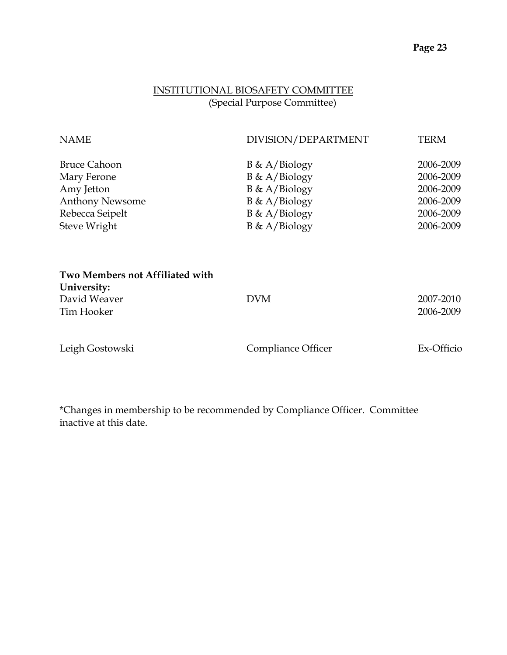#### INSTITUTIONAL BIOSAFETY COMMITTEE (Special Purpose Committee)

| <b>NAME</b>                                    | DIVISION/DEPARTMENT | <b>TERM</b> |
|------------------------------------------------|---------------------|-------------|
| <b>Bruce Cahoon</b>                            | $B \& A/Biology$    | 2006-2009   |
| Mary Ferone                                    | $B \& A/Biology$    | 2006-2009   |
| Amy Jetton                                     | $B \& A/Biology$    | 2006-2009   |
| <b>Anthony Newsome</b>                         | $B \& A/Biology$    | 2006-2009   |
| Rebecca Seipelt                                | $B \& A/Biology$    | 2006-2009   |
| Steve Wright                                   | $B \& A/Biology$    | 2006-2009   |
| Two Members not Affiliated with<br>University: |                     |             |
| David Weaver                                   | <b>DVM</b>          | 2007-2010   |
| Tim Hooker                                     |                     | 2006-2009   |
| Leigh Gostowski                                | Compliance Officer  | Ex-Officio  |

\*Changes in membership to be recommended by Compliance Officer. Committee inactive at this date.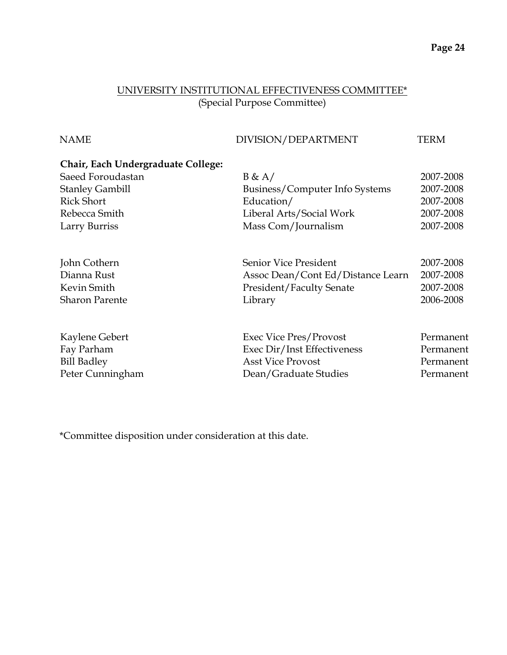#### UNIVERSITY INSTITUTIONAL EFFECTIVENESS COMMITTEE\* (Special Purpose Committee)

| <b>NAME</b>                        | DIVISION/DEPARTMENT               | <b>TERM</b> |
|------------------------------------|-----------------------------------|-------------|
| Chair, Each Undergraduate College: |                                   |             |
| Saeed Foroudastan                  | B & A/                            | 2007-2008   |
| <b>Stanley Gambill</b>             | Business/Computer Info Systems    | 2007-2008   |
| <b>Rick Short</b>                  | Education/                        | 2007-2008   |
| Rebecca Smith                      | Liberal Arts/Social Work          | 2007-2008   |
| Larry Burriss                      | Mass Com/Journalism               | 2007-2008   |
| John Cothern                       | Senior Vice President             | 2007-2008   |
| Dianna Rust                        | Assoc Dean/Cont Ed/Distance Learn | 2007-2008   |
| Kevin Smith                        | President/Faculty Senate          | 2007-2008   |
| <b>Sharon Parente</b>              | Library                           | 2006-2008   |
| Kaylene Gebert                     | Exec Vice Pres/Provost            | Permanent   |
| Fay Parham                         | Exec Dir/Inst Effectiveness       | Permanent   |
| <b>Bill Badley</b>                 | <b>Asst Vice Provost</b>          | Permanent   |
| Peter Cunningham                   | Dean/Graduate Studies             | Permanent   |

\*Committee disposition under consideration at this date.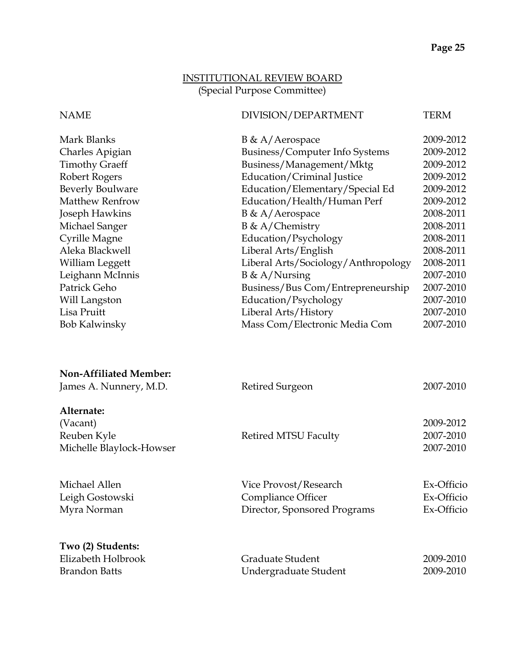#### INSTITUTIONAL REVIEW BOARD (Special Purpose Committee)

#### NAME DIVISION/DEPARTMENT TERM

| Mark Blanks             | $B \& A/Aerospace$                  | 2009-2012 |
|-------------------------|-------------------------------------|-----------|
| Charles Apigian         | Business/Computer Info Systems      | 2009-2012 |
| <b>Timothy Graeff</b>   | Business/Management/Mktg            | 2009-2012 |
| Robert Rogers           | Education/Criminal Justice          | 2009-2012 |
| <b>Beverly Boulware</b> | Education/Elementary/Special Ed     | 2009-2012 |
| <b>Matthew Renfrow</b>  | Education/Health/Human Perf         | 2009-2012 |
| Joseph Hawkins          | $B \& A/Aerospace$                  | 2008-2011 |
| Michael Sanger          | $B \& A/Chemistry$                  | 2008-2011 |
| Cyrille Magne           | Education/Psychology                | 2008-2011 |
| Aleka Blackwell         | Liberal Arts/English                | 2008-2011 |
| William Leggett         | Liberal Arts/Sociology/Anthropology | 2008-2011 |
| Leighann McInnis        | $B \& A/Nursing$                    | 2007-2010 |
| Patrick Geho            | Business/Bus Com/Entrepreneurship   | 2007-2010 |
| Will Langston           | Education/Psychology                | 2007-2010 |
| Lisa Pruitt             | Liberal Arts/History                | 2007-2010 |
| <b>Bob Kalwinsky</b>    | Mass Com/Electronic Media Com       | 2007-2010 |
|                         |                                     |           |

| <b>Non-Affiliated Member:</b><br>James A. Nunnery, M.D.           | Retired Surgeon                                                             | 2007-2010                              |
|-------------------------------------------------------------------|-----------------------------------------------------------------------------|----------------------------------------|
| Alternate:<br>(Vacant)<br>Reuben Kyle<br>Michelle Blaylock-Howser | <b>Retired MTSU Faculty</b>                                                 | 2009-2012<br>2007-2010<br>2007-2010    |
| Michael Allen<br>Leigh Gostowski<br>Myra Norman                   | Vice Provost/Research<br>Compliance Officer<br>Director, Sponsored Programs | Ex-Officio<br>Ex-Officio<br>Ex-Officio |
| Two (2) Students:<br>Elizabeth Holbrook<br><b>Brandon Batts</b>   | Graduate Student<br>Undergraduate Student                                   | 2009-2010<br>2009-2010                 |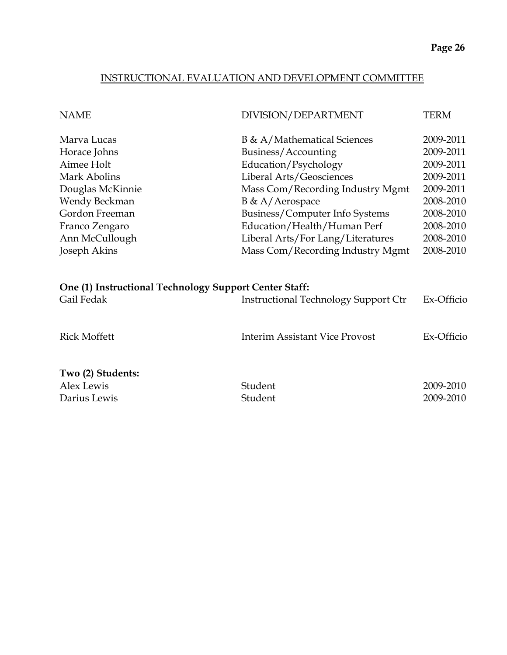#### INSTRUCTIONAL EVALUATION AND DEVELOPMENT COMMITTEE

| <b>NAME</b>                                                                                                                                          | DIVISION/DEPARTMENT                                                                                                                                                                                                                                                 | <b>TERM</b>                                                                                                       |
|------------------------------------------------------------------------------------------------------------------------------------------------------|---------------------------------------------------------------------------------------------------------------------------------------------------------------------------------------------------------------------------------------------------------------------|-------------------------------------------------------------------------------------------------------------------|
| Marva Lucas<br>Horace Johns<br>Aimee Holt<br>Mark Abolins<br>Douglas McKinnie<br>Wendy Beckman<br>Gordon Freeman<br>Franco Zengaro<br>Ann McCullough | B & A/Mathematical Sciences<br>Business/Accounting<br>Education/Psychology<br>Liberal Arts/Geosciences<br>Mass Com/Recording Industry Mgmt<br>B & A/Aerospace<br>Business/Computer Info Systems<br>Education/Health/Human Perf<br>Liberal Arts/For Lang/Literatures | 2009-2011<br>2009-2011<br>2009-2011<br>2009-2011<br>2009-2011<br>2008-2010<br>2008-2010<br>2008-2010<br>2008-2010 |
| Joseph Akins                                                                                                                                         | Mass Com/Recording Industry Mgmt                                                                                                                                                                                                                                    | 2008-2010                                                                                                         |
| One (1) Instructional Technology Support Center Staff:<br>Gail Fedak                                                                                 | <b>Instructional Technology Support Ctr</b>                                                                                                                                                                                                                         | Ex-Officio                                                                                                        |
| <b>Rick Moffett</b>                                                                                                                                  | Interim Assistant Vice Provost                                                                                                                                                                                                                                      | Ex-Officio                                                                                                        |
| Two (2) Students:<br>Alex Lewis<br>Darius Lewis                                                                                                      | Student<br>Student                                                                                                                                                                                                                                                  | 2009-2010<br>2009-2010                                                                                            |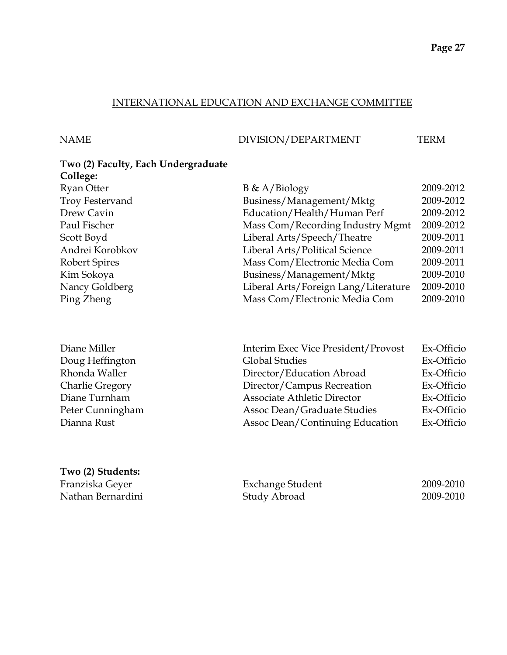#### INTERNATIONAL EDUCATION AND EXCHANGE COMMITTEE

NAME DIVISION/DEPARTMENT TERM

| Two (2) Faculty, Each Undergraduate |                                      |           |
|-------------------------------------|--------------------------------------|-----------|
| College:                            |                                      |           |
| <b>Ryan Otter</b>                   | $B \& A/Biology$                     | 2009-2012 |
| <b>Troy Festervand</b>              | Business/Management/Mktg             | 2009-2012 |
| Drew Cavin                          | Education/Health/Human Perf          | 2009-2012 |
| Paul Fischer                        | Mass Com/Recording Industry Mgmt     | 2009-2012 |
| Scott Boyd                          | Liberal Arts/Speech/Theatre          | 2009-2011 |
| Andrei Korobkov                     | Liberal Arts/Political Science       | 2009-2011 |
| Robert Spires                       | Mass Com/Electronic Media Com        | 2009-2011 |
| Kim Sokoya                          | Business/Management/Mktg             | 2009-2010 |
| Nancy Goldberg                      | Liberal Arts/Foreign Lang/Literature | 2009-2010 |
| Ping Zheng                          | Mass Com/Electronic Media Com        | 2009-2010 |
|                                     |                                      |           |

| Interim Exec Vice President/Provost | Ex-Officio |
|-------------------------------------|------------|
| <b>Global Studies</b>               | Ex-Officio |
| Director/Education Abroad           | Ex-Officio |
| Director/Campus Recreation          | Ex-Officio |
| <b>Associate Athletic Director</b>  | Ex-Officio |
| Assoc Dean/Graduate Studies         | Ex-Officio |
| Assoc Dean/Continuing Education     | Ex-Officio |
|                                     |            |

# **Two (2) Students:**

Diane Miller Doug Heffington Rhonda Waller Charlie Gregory Diane Turnham Peter Cunningham

Dianna Rust

| Franziska Geyer   | Exchange Student | 2009-2010 |
|-------------------|------------------|-----------|
| Nathan Bernardini | Study Abroad     | 2009-2010 |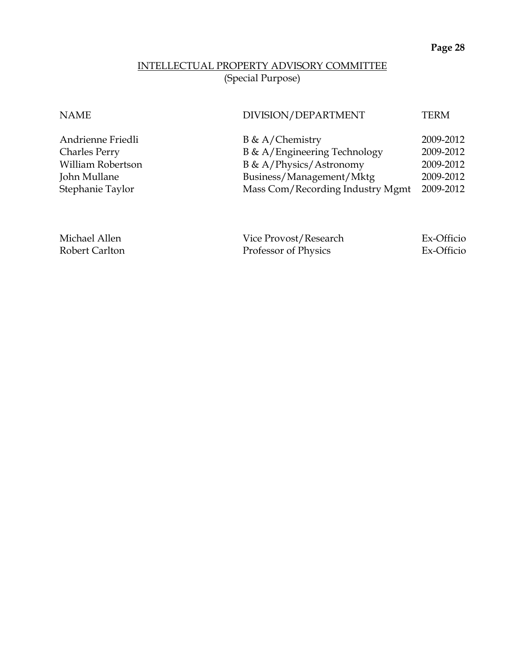#### INTELLECTUAL PROPERTY ADVISORY COMMITTEE (Special Purpose)

NAME DIVISION/DEPARTMENT TERM

| $B \& A/Chemistry$               | 2009-2012 |
|----------------------------------|-----------|
| B & A/Engineering Technology     | 2009-2012 |
| B & A/Physics/Astronomy          | 2009-2012 |
| Business/Management/Mktg         | 2009-2012 |
| Mass Com/Recording Industry Mgmt | 2009-2012 |

Andrienne Friedli Charles Perry

William Robertson

John Mullane Stephanie Taylor

Michael Allen Vice Provost/Research Ex-Officio Robert Carlton Professor of Physics Ex-Officio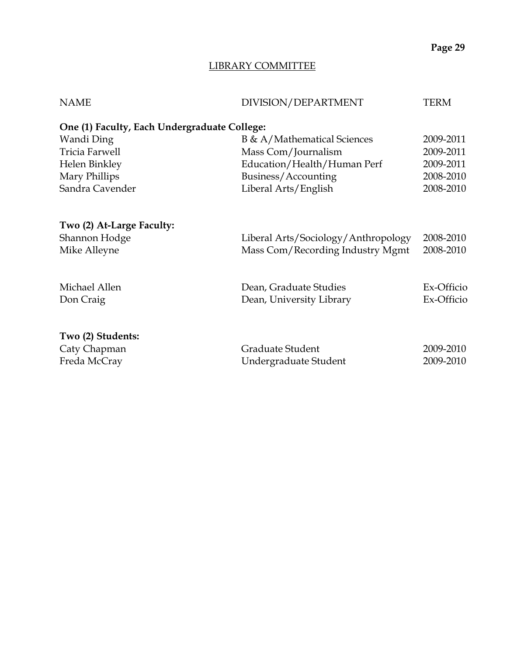#### LIBRARY COMMITTEE

| <b>NAME</b>                                  | DIVISION/DEPARTMENT                 | <b>TERM</b> |
|----------------------------------------------|-------------------------------------|-------------|
| One (1) Faculty, Each Undergraduate College: |                                     |             |
| Wandi Ding                                   | B & A/Mathematical Sciences         | 2009-2011   |
| <b>Tricia Farwell</b>                        | Mass Com/Journalism                 | 2009-2011   |
| Helen Binkley                                | Education/Health/Human Perf         | 2009-2011   |
| Mary Phillips                                | Business/Accounting                 | 2008-2010   |
| Sandra Cavender                              | Liberal Arts/English                | 2008-2010   |
| Two (2) At-Large Faculty:                    |                                     |             |
| Shannon Hodge                                | Liberal Arts/Sociology/Anthropology | 2008-2010   |
| Mike Alleyne                                 | Mass Com/Recording Industry Mgmt    | 2008-2010   |
| Michael Allen                                | Dean, Graduate Studies              | Ex-Officio  |
| Don Craig                                    | Dean, University Library            | Ex-Officio  |
| Two (2) Students:                            |                                     |             |
| Caty Chapman                                 | Graduate Student                    | 2009-2010   |
| Freda McCray                                 | Undergraduate Student               | 2009-2010   |
|                                              |                                     |             |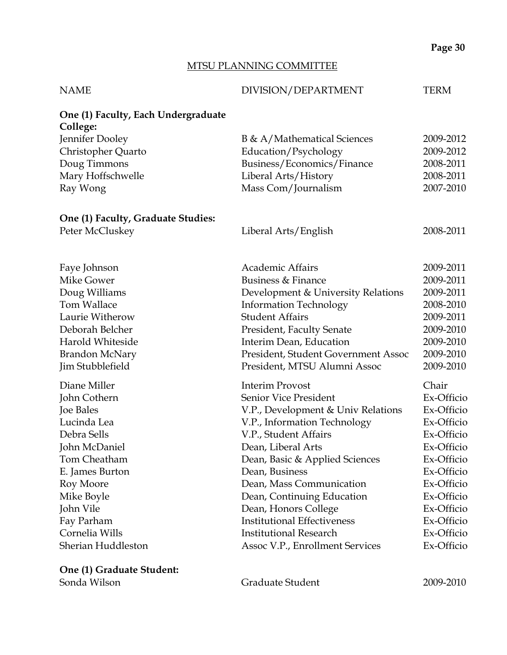#### MTSU PLANNING COMMITTEE

| <b>NAME</b>                                     | DIVISION/DEPARTMENT                 | <b>TERM</b> |
|-------------------------------------------------|-------------------------------------|-------------|
| One (1) Faculty, Each Undergraduate<br>College: |                                     |             |
| Jennifer Dooley                                 | B & A/Mathematical Sciences         | 2009-2012   |
| Christopher Quarto                              | Education/Psychology                | 2009-2012   |
| Doug Timmons                                    | Business/Economics/Finance          | 2008-2011   |
| Mary Hoffschwelle                               | Liberal Arts/History                | 2008-2011   |
| Ray Wong                                        | Mass Com/Journalism                 | 2007-2010   |
| One (1) Faculty, Graduate Studies:              |                                     |             |
| Peter McCluskey                                 | Liberal Arts/English                | 2008-2011   |
| Faye Johnson                                    | <b>Academic Affairs</b>             | 2009-2011   |
| Mike Gower                                      | Business & Finance                  | 2009-2011   |
| Doug Williams                                   | Development & University Relations  | 2009-2011   |
| <b>Tom Wallace</b>                              | <b>Information Technology</b>       | 2008-2010   |
| Laurie Witherow                                 | <b>Student Affairs</b>              | 2009-2011   |
| Deborah Belcher                                 | President, Faculty Senate           | 2009-2010   |
| Harold Whiteside                                | Interim Dean, Education             | 2009-2010   |
| <b>Brandon McNary</b>                           | President, Student Government Assoc | 2009-2010   |
| Jim Stubblefield                                | President, MTSU Alumni Assoc        | 2009-2010   |
| Diane Miller                                    | <b>Interim Provost</b>              | Chair       |
| John Cothern                                    | Senior Vice President               | Ex-Officio  |
| Joe Bales                                       | V.P., Development & Univ Relations  | Ex-Officio  |
| Lucinda Lea                                     | V.P., Information Technology        | Ex-Officio  |
| Debra Sells                                     | V.P., Student Affairs               | Ex-Officio  |
| John McDaniel                                   | Dean, Liberal Arts                  | Ex-Officio  |
| Tom Cheatham                                    | Dean, Basic & Applied Sciences      | Ex-Officio  |
| E. James Burton                                 | Dean, Business                      | Ex-Officio  |
| Roy Moore                                       | Dean, Mass Communication            | Ex-Officio  |
| Mike Boyle                                      | Dean, Continuing Education          | Ex-Officio  |
| John Vile                                       | Dean, Honors College                | Ex-Officio  |
| Fay Parham                                      | <b>Institutional Effectiveness</b>  | Ex-Officio  |
| Cornelia Wills                                  | <b>Institutional Research</b>       | Ex-Officio  |
| Sherian Huddleston                              | Assoc V.P., Enrollment Services     | Ex-Officio  |
| One (1) Graduate Student:                       |                                     |             |

Sonda Wilson

Graduate Student 2009-2010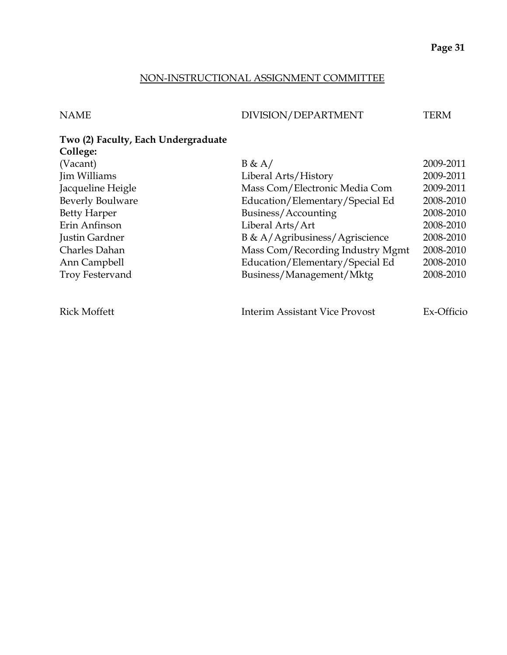#### NON-INSTRUCTIONAL ASSIGNMENT COMMITTEE

#### NAME DIVISION/DEPARTMENT TERM

#### **Two (2) Faculty, Each Undergraduate College:**

| (Vacant)                | B & A/                                | 2009-2011  |
|-------------------------|---------------------------------------|------------|
| Jim Williams            | Liberal Arts/History                  | 2009-2011  |
| Jacqueline Heigle       | Mass Com/Electronic Media Com         | 2009-2011  |
| <b>Beverly Boulware</b> | Education/Elementary/Special Ed       | 2008-2010  |
| <b>Betty Harper</b>     | Business/Accounting                   | 2008-2010  |
| Erin Anfinson           | Liberal Arts/Art                      | 2008-2010  |
| Justin Gardner          | B & A/Agribusiness/Agriscience        | 2008-2010  |
| Charles Dahan           | Mass Com/Recording Industry Mgmt      | 2008-2010  |
| Ann Campbell            | Education/Elementary/Special Ed       | 2008-2010  |
| Troy Festervand         | Business/Management/Mktg              | 2008-2010  |
|                         |                                       |            |
| <b>Rick Moffett</b>     | <b>Interim Assistant Vice Provost</b> | Ex-Officio |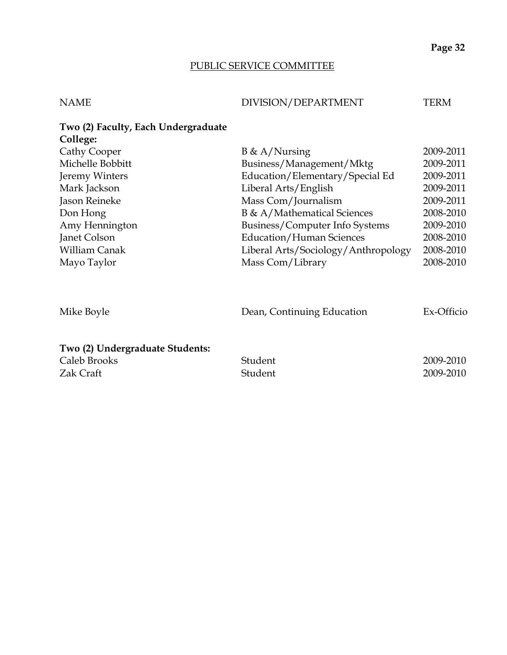#### PUBLIC SERVICE COMMITTEE

| NAME | DIVISION/DEPARTMENT | TERM |
|------|---------------------|------|
|      |                     |      |

| Two (2) Faculty, Each Undergraduate |                                     |            |
|-------------------------------------|-------------------------------------|------------|
| College:                            |                                     |            |
| Cathy Cooper                        | $B \& A/Nursing$                    | 2009-2011  |
| Michelle Bobbitt                    | Business/Management/Mktg            | 2009-2011  |
| Jeremy Winters                      | Education/Elementary/Special Ed     | 2009-2011  |
| Mark Jackson                        | Liberal Arts/English                | 2009-2011  |
| Jason Reineke                       | Mass Com/Journalism                 | 2009-2011  |
| Don Hong                            | B & A/Mathematical Sciences         | 2008-2010  |
| Amy Hennington                      | Business/Computer Info Systems      | 2009-2010  |
| Janet Colson                        | <b>Education/Human Sciences</b>     | 2008-2010  |
| William Canak                       | Liberal Arts/Sociology/Anthropology | 2008-2010  |
| Mayo Taylor                         | Mass Com/Library                    | 2008-2010  |
|                                     |                                     |            |
| Mike Boyle                          | Dean, Continuing Education          | Ex-Officio |
| Two (2) Undergraduate Students:     |                                     |            |

| Caleb Brooks | Student | 2009-2010 |
|--------------|---------|-----------|
| Zak Craft    | Student | 2009-2010 |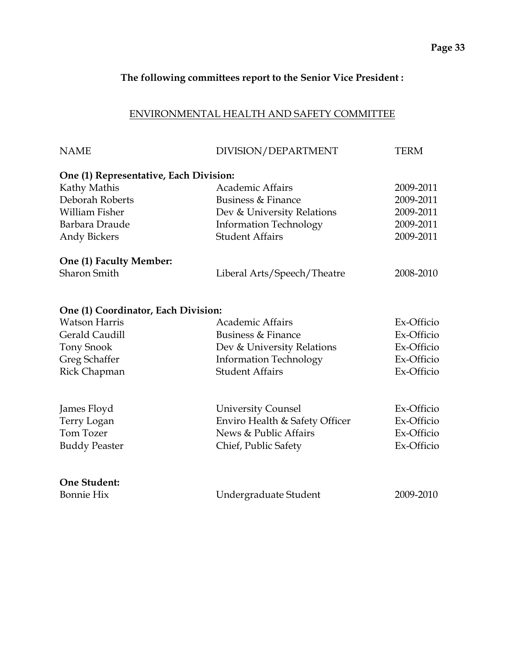#### **The following committees report to the Senior Vice President :**

#### ENVIRONMENTAL HEALTH AND SAFETY COMMITTEE

| <b>NAME</b>                            | DIVISION/DEPARTMENT            | <b>TERM</b> |
|----------------------------------------|--------------------------------|-------------|
| One (1) Representative, Each Division: |                                |             |
| Kathy Mathis                           | <b>Academic Affairs</b>        | 2009-2011   |
| Deborah Roberts                        | Business & Finance             | 2009-2011   |
| William Fisher                         | Dev & University Relations     | 2009-2011   |
| Barbara Draude                         | <b>Information Technology</b>  | 2009-2011   |
| <b>Andy Bickers</b>                    | <b>Student Affairs</b>         | 2009-2011   |
| One (1) Faculty Member:                |                                |             |
| <b>Sharon Smith</b>                    | Liberal Arts/Speech/Theatre    | 2008-2010   |
| One (1) Coordinator, Each Division:    |                                |             |
| <b>Watson Harris</b>                   | <b>Academic Affairs</b>        | Ex-Officio  |
| Gerald Caudill                         | Business & Finance             | Ex-Officio  |
| <b>Tony Snook</b>                      | Dev & University Relations     | Ex-Officio  |
| Greg Schaffer                          | <b>Information Technology</b>  | Ex-Officio  |
| Rick Chapman                           | <b>Student Affairs</b>         | Ex-Officio  |
| James Floyd                            | <b>University Counsel</b>      | Ex-Officio  |
| Terry Logan                            | Enviro Health & Safety Officer | Ex-Officio  |
| Tom Tozer                              | News & Public Affairs          | Ex-Officio  |
| <b>Buddy Peaster</b>                   | Chief, Public Safety           | Ex-Officio  |
|                                        |                                |             |
| One Student:                           |                                |             |
| <b>Bonnie Hix</b>                      | Undergraduate Student          | 2009-2010   |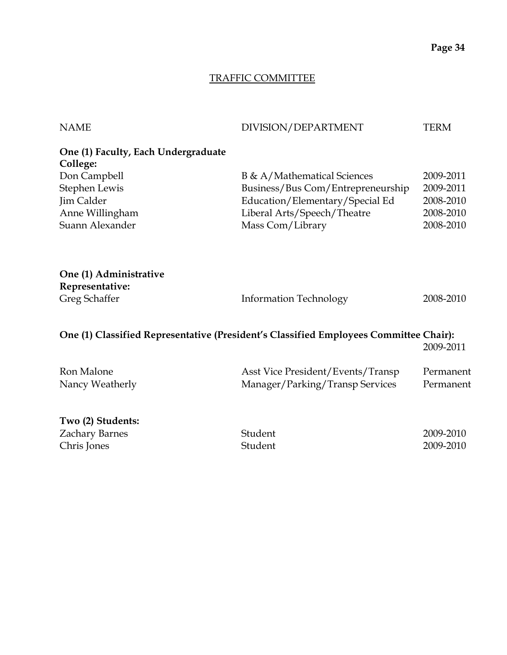#### TRAFFIC COMMITTEE

| <b>NAME</b>                         | DIVISION/DEPARTMENT                                                                   | <b>TERM</b> |
|-------------------------------------|---------------------------------------------------------------------------------------|-------------|
| One (1) Faculty, Each Undergraduate |                                                                                       |             |
| College:                            |                                                                                       |             |
| Don Campbell                        | B & A/Mathematical Sciences                                                           | 2009-2011   |
| Stephen Lewis                       | Business/Bus Com/Entrepreneurship                                                     | 2009-2011   |
| Jim Calder                          | Education/Elementary/Special Ed                                                       | 2008-2010   |
| Anne Willingham                     | Liberal Arts/Speech/Theatre                                                           | 2008-2010   |
| Suann Alexander                     | Mass Com/Library                                                                      | 2008-2010   |
|                                     |                                                                                       |             |
| One (1) Administrative              |                                                                                       |             |
| Representative:                     |                                                                                       |             |
| Greg Schaffer                       | <b>Information Technology</b>                                                         | 2008-2010   |
|                                     | One (1) Classified Representative (President's Classified Employees Committee Chair): |             |
|                                     |                                                                                       | 2009-2011   |
| Ron Malone                          | Asst Vice President/Events/Transp                                                     | Permanent   |
| Nancy Weatherly                     | Manager/Parking/Transp Services                                                       | Permanent   |
| Two (2) Students:                   |                                                                                       |             |
| Zachary Barnes                      | Student                                                                               | 2009-2010   |
| Chris Jones                         | Student                                                                               | 2009-2010   |

Chris Jones Student 2009-2010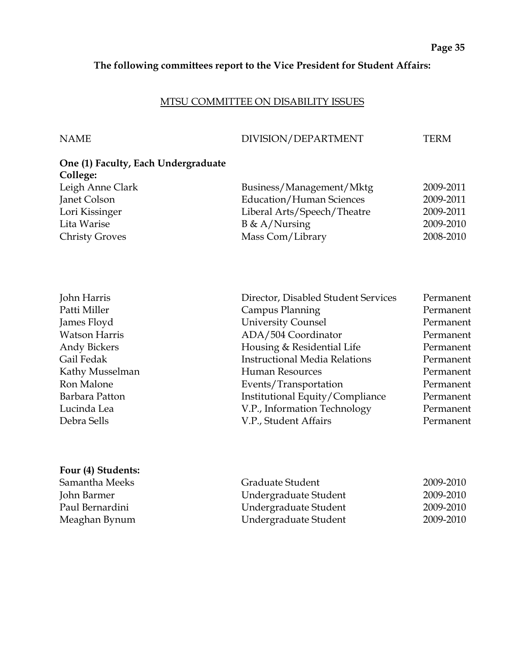#### **The following committees report to the Vice President for Student Affairs:**

#### MTSU COMMITTEE ON DISABILITY ISSUES

#### NAME DIVISION/DEPARTMENT TERM

| One (1) Faculty, Each Undergraduate |                                 |           |
|-------------------------------------|---------------------------------|-----------|
| College:                            |                                 |           |
| Leigh Anne Clark                    | Business/Management/Mktg        | 2009-2011 |
| Janet Colson                        | <b>Education/Human Sciences</b> | 2009-2011 |
| Lori Kissinger                      | Liberal Arts/Speech/Theatre     | 2009-2011 |
| Lita Warise                         | $B \& A/Nursing$                | 2009-2010 |
| <b>Christy Groves</b>               | Mass Com/Library                | 2008-2010 |

| Director, Disabled Student Services  | Permanent |
|--------------------------------------|-----------|
| Campus Planning                      | Permanent |
| <b>University Counsel</b>            | Permanent |
| ADA/504 Coordinator                  | Permanent |
| Housing & Residential Life           | Permanent |
| <b>Instructional Media Relations</b> | Permanent |
| <b>Human Resources</b>               | Permanent |
| Events/Transportation                | Permanent |
| Institutional Equity/Compliance      | Permanent |
| V.P., Information Technology         | Permanent |
| V.P., Student Affairs                | Permanent |
|                                      |           |

#### **Four (4) Students:**

| Samantha Meeks  | Graduate Student      | 2009-2010 |
|-----------------|-----------------------|-----------|
| John Barmer     | Undergraduate Student | 2009-2010 |
| Paul Bernardini | Undergraduate Student | 2009-2010 |
| Meaghan Bynum   | Undergraduate Student | 2009-2010 |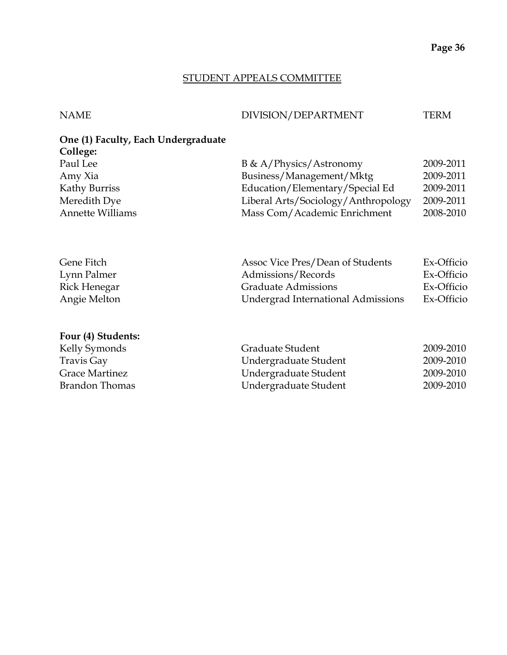#### STUDENT APPEALS COMMITTEE

#### NAME DIVISION/DEPARTMENT TERM

## **One (1) Faculty, Each Undergraduate College:**

| Paul Lee         | B & A/Physics/Astronomy             | 2009-2011 |
|------------------|-------------------------------------|-----------|
| Amy Xia          | Business/Management/Mktg            | 2009-2011 |
| Kathy Burriss    | Education/Elementary/Special Ed     | 2009-2011 |
| Meredith Dye     | Liberal Arts/Sociology/Anthropology | 2009-2011 |
| Annette Williams | Mass Com/Academic Enrichment        | 2008-2010 |
|                  |                                     |           |

| Gene Fitch   | Assoc Vice Pres/Dean of Students   | Ex-Officio |
|--------------|------------------------------------|------------|
| Lynn Palmer  | Admissions/Records                 | Ex-Officio |
| Rick Henegar | <b>Graduate Admissions</b>         | Ex-Officio |
| Angie Melton | Undergrad International Admissions | Ex-Officio |

#### **Four (4) Students:**

| Kelly Symonds  | Graduate Student      | 2009-2010 |
|----------------|-----------------------|-----------|
| Travis Gay     | Undergraduate Student | 2009-2010 |
| Grace Martinez | Undergraduate Student | 2009-2010 |
| Brandon Thomas | Undergraduate Student | 2009-2010 |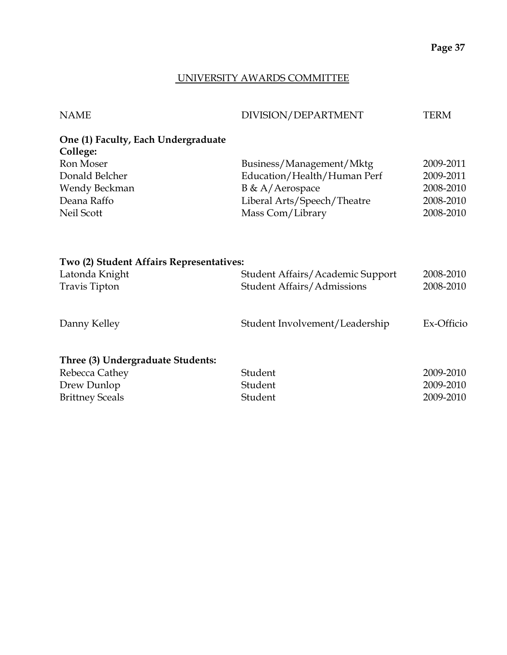#### UNIVERSITY AWARDS COMMITTEE

| <b>NAME</b>                                     | DIVISION/DEPARTMENT               | <b>TERM</b> |
|-------------------------------------------------|-----------------------------------|-------------|
| One (1) Faculty, Each Undergraduate<br>College: |                                   |             |
| Ron Moser                                       | Business/Management/Mktg          | 2009-2011   |
| Donald Belcher                                  | Education/Health/Human Perf       | 2009-2011   |
| Wendy Beckman                                   | B & A/Aerospace                   | 2008-2010   |
| Deana Raffo                                     | Liberal Arts/Speech/Theatre       | 2008-2010   |
| Neil Scott                                      | Mass Com/Library                  | 2008-2010   |
| Two (2) Student Affairs Representatives:        |                                   |             |
| Latonda Knight                                  | Student Affairs/Academic Support  | 2008-2010   |
| <b>Travis Tipton</b>                            | <b>Student Affairs/Admissions</b> | 2008-2010   |
| Danny Kelley                                    | Student Involvement/Leadership    | Ex-Officio  |
| Three (3) Undergraduate Students:               |                                   |             |
| Rebecca Cathey                                  | Student                           | 2009-2010   |
| Drew Dunlop                                     | Student                           | 2009-2010   |
| <b>Brittney Sceals</b>                          | Student                           | 2009-2010   |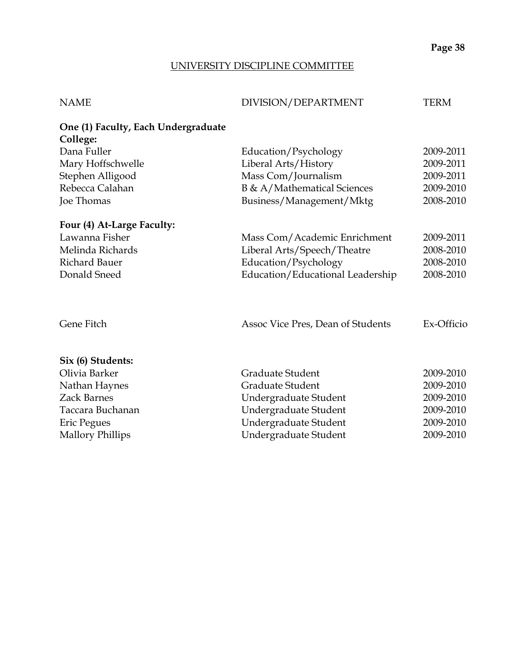#### UNIVERSITY DISCIPLINE COMMITTEE

| DIVISION/DEPARTMENT               | <b>TERM</b>                                                                                                                                                                                                                                                                                                   |
|-----------------------------------|---------------------------------------------------------------------------------------------------------------------------------------------------------------------------------------------------------------------------------------------------------------------------------------------------------------|
|                                   |                                                                                                                                                                                                                                                                                                               |
|                                   |                                                                                                                                                                                                                                                                                                               |
|                                   | 2009-2011                                                                                                                                                                                                                                                                                                     |
|                                   | 2009-2011                                                                                                                                                                                                                                                                                                     |
|                                   | 2009-2011                                                                                                                                                                                                                                                                                                     |
|                                   | 2009-2010                                                                                                                                                                                                                                                                                                     |
| Business/Management/Mktg          | 2008-2010                                                                                                                                                                                                                                                                                                     |
|                                   |                                                                                                                                                                                                                                                                                                               |
|                                   | 2009-2011                                                                                                                                                                                                                                                                                                     |
|                                   | 2008-2010                                                                                                                                                                                                                                                                                                     |
| Education/Psychology              | 2008-2010                                                                                                                                                                                                                                                                                                     |
| Education/Educational Leadership  | 2008-2010                                                                                                                                                                                                                                                                                                     |
| Assoc Vice Pres, Dean of Students | Ex-Officio                                                                                                                                                                                                                                                                                                    |
|                                   |                                                                                                                                                                                                                                                                                                               |
|                                   | 2009-2010                                                                                                                                                                                                                                                                                                     |
|                                   | 2009-2010                                                                                                                                                                                                                                                                                                     |
|                                   | 2009-2010                                                                                                                                                                                                                                                                                                     |
|                                   | 2009-2010                                                                                                                                                                                                                                                                                                     |
|                                   | 2009-2010                                                                                                                                                                                                                                                                                                     |
|                                   | 2009-2010                                                                                                                                                                                                                                                                                                     |
|                                   | Education/Psychology<br>Liberal Arts/History<br>Mass Com/Journalism<br>B & A/Mathematical Sciences<br>Mass Com/Academic Enrichment<br>Liberal Arts/Speech/Theatre<br>Graduate Student<br>Graduate Student<br>Undergraduate Student<br>Undergraduate Student<br>Undergraduate Student<br>Undergraduate Student |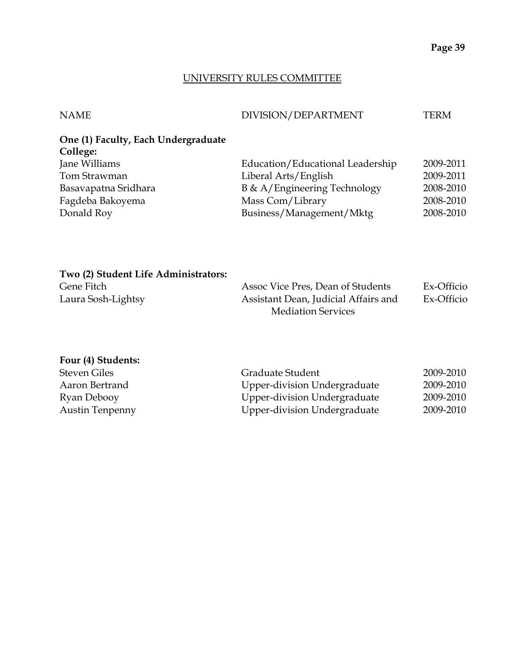#### UNIVERSITY RULES COMMITTEE

| <b>NAME</b>                         | DIVISION/DEPARTMENT              | TERM      |
|-------------------------------------|----------------------------------|-----------|
| One (1) Faculty, Each Undergraduate |                                  |           |
| College:                            |                                  |           |
| Jane Williams                       | Education/Educational Leadership | 2009-2011 |
| Tom Strawman                        | Liberal Arts/English             | 2009-2011 |
| Basavapatna Sridhara                | B & A/Engineering Technology     | 2008-2010 |
| Fagdeba Bakoyema                    | Mass Com/Library                 | 2008-2010 |
| Donald Roy                          | Business/Management/Mktg         | 2008-2010 |
|                                     |                                  |           |

| Two (2) Student Life Administrators: |                                      |            |
|--------------------------------------|--------------------------------------|------------|
| Gene Fitch                           | Assoc Vice Pres, Dean of Students    | Ex-Officio |
| Laura Sosh-Lightsy                   | Assistant Dean, Judicial Affairs and | Ex-Officio |
|                                      | <b>Mediation Services</b>            |            |

| Four (4) Students:     |                                     |           |
|------------------------|-------------------------------------|-----------|
| <b>Steven Giles</b>    | Graduate Student                    | 2009-2010 |
| Aaron Bertrand         | Upper-division Undergraduate        | 2009-2010 |
| Ryan Debooy            | Upper-division Undergraduate        | 2009-2010 |
| <b>Austin Tenpenny</b> | <b>Upper-division Undergraduate</b> | 2009-2010 |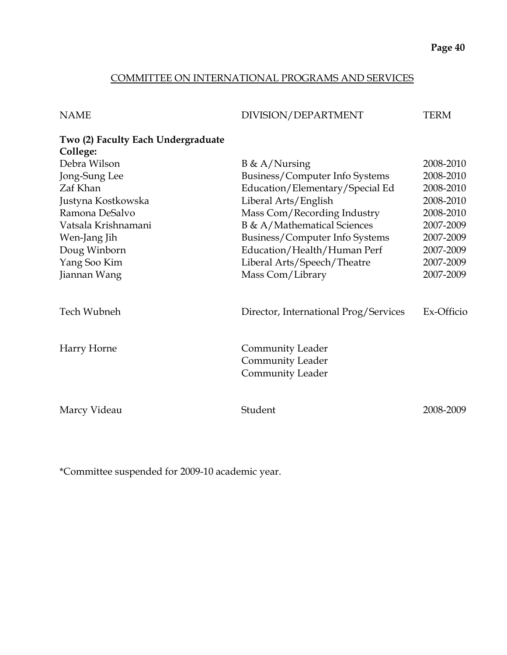#### COMMITTEE ON INTERNATIONAL PROGRAMS AND SERVICES

| <b>NAME</b>                                    | DIVISION/DEPARTMENT                                                    | <b>TERM</b> |
|------------------------------------------------|------------------------------------------------------------------------|-------------|
| Two (2) Faculty Each Undergraduate<br>College: |                                                                        |             |
| Debra Wilson                                   | $B \& A/Nursing$                                                       | 2008-2010   |
| Jong-Sung Lee                                  | Business/Computer Info Systems                                         | 2008-2010   |
| Zaf Khan                                       | Education/Elementary/Special Ed                                        | 2008-2010   |
| Justyna Kostkowska                             | Liberal Arts/English                                                   | 2008-2010   |
| Ramona DeSalvo                                 | Mass Com/Recording Industry                                            | 2008-2010   |
| Vatsala Krishnamani                            | <b>B &amp; A/Mathematical Sciences</b>                                 | 2007-2009   |
| Wen-Jang Jih                                   | Business/Computer Info Systems                                         | 2007-2009   |
| Doug Winborn                                   | Education/Health/Human Perf                                            | 2007-2009   |
| Yang Soo Kim                                   | Liberal Arts/Speech/Theatre                                            | 2007-2009   |
| Jiannan Wang                                   | Mass Com/Library                                                       | 2007-2009   |
| Tech Wubneh                                    | Director, International Prog/Services                                  | Ex-Officio  |
| Harry Horne                                    | Community Leader<br><b>Community Leader</b><br><b>Community Leader</b> |             |
| Marcy Videau                                   | Student                                                                | 2008-2009   |

\*Committee suspended for 2009-10 academic year.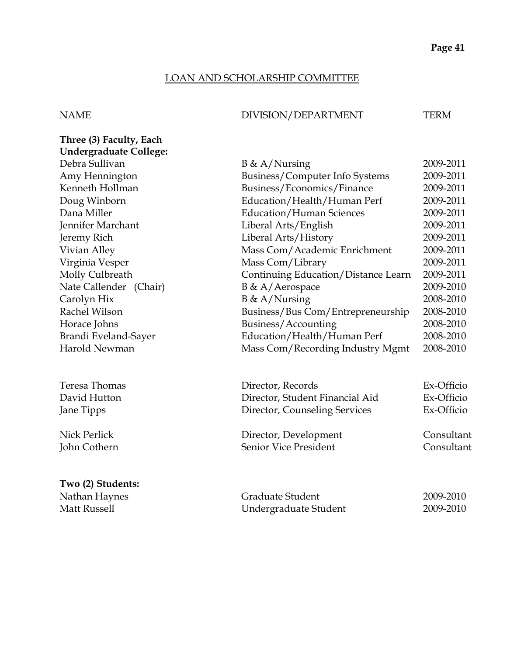#### LOAN AND SCHOLARSHIP COMMITTEE

#### NAME DIVISION/DEPARTMENT TERM

| Three (3) Faculty, Each       |                                     |           |
|-------------------------------|-------------------------------------|-----------|
| <b>Undergraduate College:</b> |                                     |           |
| Debra Sullivan                | $B \& A/Nursing$                    | 2009-2011 |
| Amy Hennington                | Business/Computer Info Systems      | 2009-2011 |
| Kenneth Hollman               | Business/Economics/Finance          | 2009-2011 |
| Doug Winborn                  | Education/Health/Human Perf         | 2009-2011 |
| Dana Miller                   | Education/Human Sciences            | 2009-2011 |
| Jennifer Marchant             | Liberal Arts/English                | 2009-2011 |
| Jeremy Rich                   | Liberal Arts/History                | 2009-2011 |
| Vivian Alley                  | Mass Com/Academic Enrichment        | 2009-2011 |
| Virginia Vesper               | Mass Com/Library                    | 2009-2011 |
| Molly Culbreath               | Continuing Education/Distance Learn | 2009-2011 |
| Nate Callender (Chair)        | $B \& A/Aerospace$                  | 2009-2010 |
| Carolyn Hix                   | $B \& A/Nursing$                    | 2008-2010 |
| Rachel Wilson                 | Business/Bus Com/Entrepreneurship   | 2008-2010 |
| Horace Johns                  | Business/Accounting                 | 2008-2010 |
| Brandi Eveland-Sayer          | Education/Health/Human Perf         | 2008-2010 |
| Harold Newman                 | Mass Com/Recording Industry Mgmt    | 2008-2010 |
|                               |                                     |           |
|                               |                                     |           |

Teresa Thomas David Hutton Jane Tipps

Nick Perlick<br>John Cothern

#### **Two (2) Students:**

| Director, Records               | Ex-Officio |
|---------------------------------|------------|
| Director, Student Financial Aid | Ex-Officio |
| Director, Counseling Services   | Ex-Officio |
| Director, Development           | Consultant |
| Senior Vice President           | Consultant |

Nathan Haynes Graduate Student 2009-2010 Matt Russell **Matt Russell EXECUTE:** Undergraduate Student 2009-2010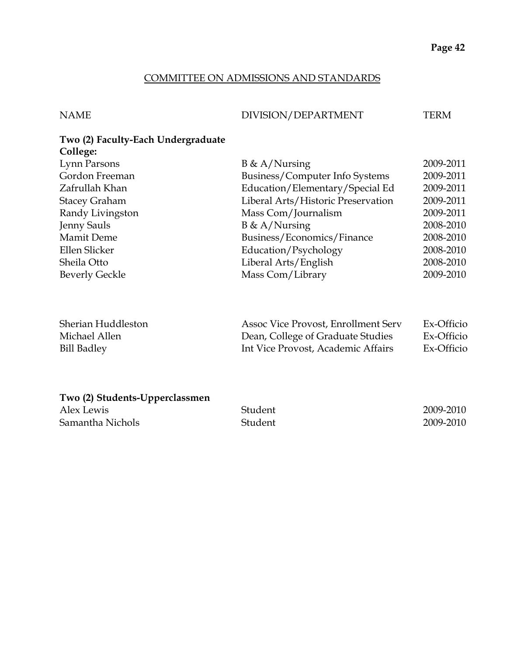#### COMMITTEE ON ADMISSIONS AND STANDARDS

#### NAME DIVISION/DEPARTMENT TERM

#### **Two (2) Faculty-Each Undergraduate College:**

| Lynn Parsons          | $B \& A/Nursing$                   | 2009-2011 |
|-----------------------|------------------------------------|-----------|
| Gordon Freeman        | Business/Computer Info Systems     | 2009-2011 |
| Zafrullah Khan        | Education/Elementary/Special Ed    | 2009-2011 |
| <b>Stacey Graham</b>  | Liberal Arts/Historic Preservation | 2009-2011 |
| Randy Livingston      | Mass Com/Journalism                | 2009-2011 |
| Jenny Sauls           | $B \& A/Nursing$                   | 2008-2010 |
| <b>Mamit Deme</b>     | Business/Economics/Finance         | 2008-2010 |
| Ellen Slicker         | Education/Psychology               | 2008-2010 |
| Sheila Otto           | Liberal Arts/English               | 2008-2010 |
| <b>Beverly Geckle</b> | Mass Com/Library                   | 2009-2010 |
|                       |                                    |           |
|                       |                                    |           |

| Sherian Huddleston | Assoc Vice Provost, Enrollment Serv | Ex-Officio |
|--------------------|-------------------------------------|------------|
| Michael Allen      | Dean, College of Graduate Studies   | Ex-Officio |
| Bill Badley        | Int Vice Provost, Academic Affairs  | Ex-Officio |

#### **Two (2) Students-Upperclassmen**

| Alex Lewis       | Student | 2009-2010 |
|------------------|---------|-----------|
| Samantha Nichols | Student | 2009-2010 |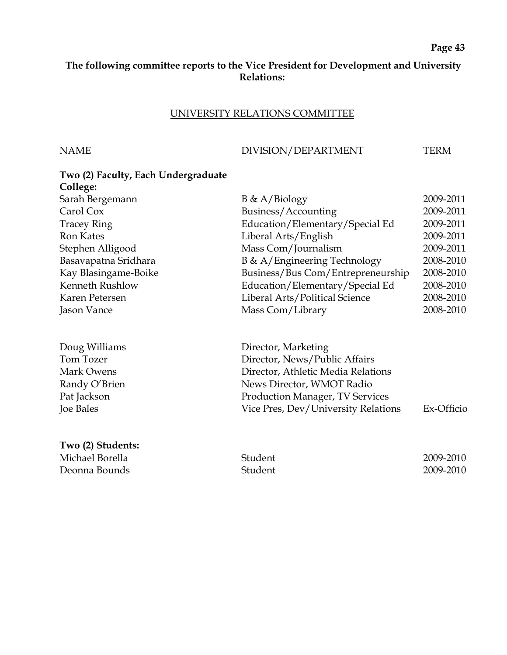#### **The following committee reports to the Vice President for Development and University Relations:**

#### UNIVERSITY RELATIONS COMMITTEE

#### NAME DIVISION/DEPARTMENT TERM

| Two (2) Faculty, Each Undergraduate |                                    |           |
|-------------------------------------|------------------------------------|-----------|
| College:                            |                                    |           |
| Sarah Bergemann                     | $B \& A/Biology$                   | 2009-2011 |
| Carol Cox                           | Business/Accounting                | 2009-2011 |
| <b>Tracey Ring</b>                  | Education/Elementary/Special Ed    | 2009-2011 |
| <b>Ron Kates</b>                    | Liberal Arts/English               | 2009-2011 |
| Stephen Alligood                    | Mass Com/Journalism                | 2009-2011 |
| Basavapatna Sridhara                | B & A/Engineering Technology       | 2008-2010 |
| Kay Blasingame-Boike                | Business/Bus Com/Entrepreneurship  | 2008-2010 |
| Kenneth Rushlow                     | Education/Elementary/Special Ed    | 2008-2010 |
| Karen Petersen                      | Liberal Arts/Political Science     | 2008-2010 |
| Jason Vance                         | Mass Com/Library                   | 2008-2010 |
| Doug Williams                       | Director, Marketing                |           |
| Tom Tozer                           | Director, News/Public Affairs      |           |
| Mark Owens                          | Director, Athletic Media Relations |           |

Randy O'Brien News Director, WMOT Radio<br>Pat Jackson Production Manager, TV Servi Production Manager, TV Services Joe Bales Vice Pres, Dev/University Relations Ex-Officio

**Two (2) Students:** Michael Borella 2009-2010 Deonna Bounds Student 2009-2010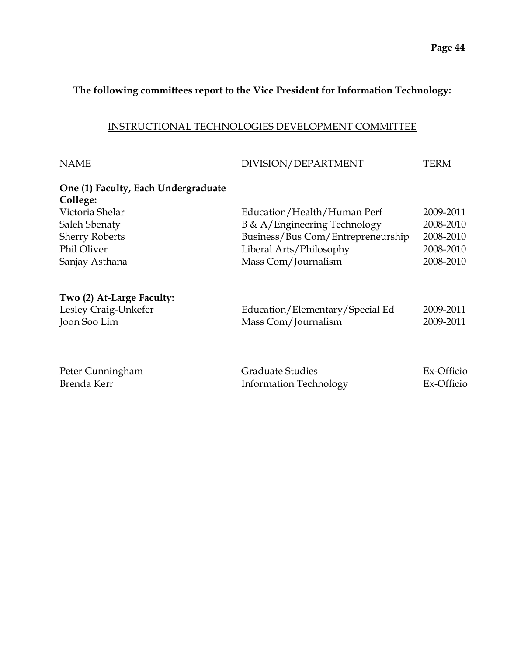#### **The following committees report to the Vice President for Information Technology:**

#### INSTRUCTIONAL TECHNOLOGIES DEVELOPMENT COMMITTEE

| <b>NAME</b>                                     | DIVISION/DEPARTMENT               | <b>TERM</b> |
|-------------------------------------------------|-----------------------------------|-------------|
| One (1) Faculty, Each Undergraduate<br>College: |                                   |             |
| Victoria Shelar                                 | Education/Health/Human Perf       | 2009-2011   |
| Saleh Sbenaty                                   | B & A/Engineering Technology      | 2008-2010   |
| <b>Sherry Roberts</b>                           | Business/Bus Com/Entrepreneurship | 2008-2010   |
| Phil Oliver                                     | Liberal Arts/Philosophy           | 2008-2010   |
| Sanjay Asthana                                  | Mass Com/Journalism               | 2008-2010   |
| Two (2) At-Large Faculty:                       |                                   |             |
| Lesley Craig-Unkefer                            | Education/Elementary/Special Ed   | 2009-2011   |
| Joon Soo Lim                                    | Mass Com/Journalism               | 2009-2011   |
|                                                 |                                   |             |
| Peter Cunningham                                | <b>Graduate Studies</b>           | Ex-Officio  |
| Brenda Kerr                                     | <b>Information Technology</b>     | Ex-Officio  |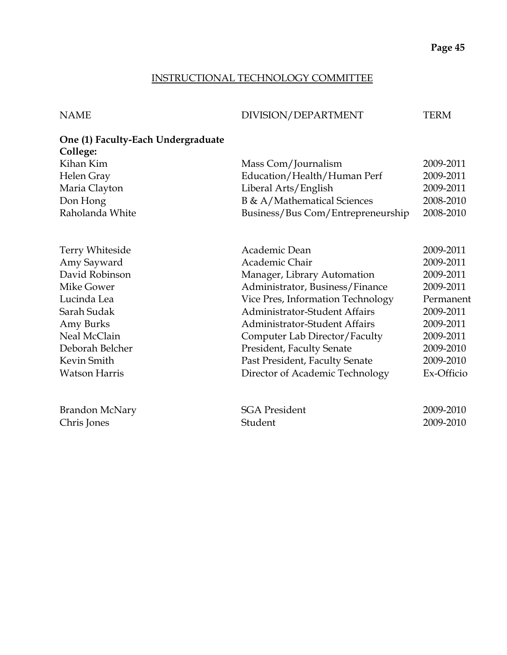#### INSTRUCTIONAL TECHNOLOGY COMMITTEE

#### NAME DIVISION/DEPARTMENT TERM

#### **One (1) Faculty-Each Undergraduate College:**

| Kihan Kim            | Mass Com/Journalism                  | 2009-2011  |
|----------------------|--------------------------------------|------------|
| Helen Gray           | Education/Health/Human Perf          | 2009-2011  |
| Maria Clayton        | Liberal Arts/English                 | 2009-2011  |
| Don Hong             | B & A/Mathematical Sciences          | 2008-2010  |
| Raholanda White      | Business/Bus Com/Entrepreneurship    | 2008-2010  |
| Terry Whiteside      | Academic Dean                        | 2009-2011  |
| Amy Sayward          | Academic Chair                       | 2009-2011  |
| David Robinson       | Manager, Library Automation          | 2009-2011  |
| Mike Gower           | Administrator, Business/Finance      | 2009-2011  |
| Lucinda Lea          | Vice Pres, Information Technology    | Permanent  |
| Sarah Sudak          | <b>Administrator-Student Affairs</b> | 2009-2011  |
| Amy Burks            | <b>Administrator-Student Affairs</b> | 2009-2011  |
| Neal McClain         | Computer Lab Director/Faculty        | 2009-2011  |
| Deborah Belcher      | <b>President, Faculty Senate</b>     | 2009-2010  |
| Kevin Smith          | Past President, Faculty Senate       | 2009-2010  |
| <b>Watson Harris</b> | Director of Academic Technology      | Ex-Officio |
|                      |                                      |            |
| Brandon McNary       | <b>SGA President</b>                 | 2009-2010  |
| Chris Jones          | Student                              | 2009-2010  |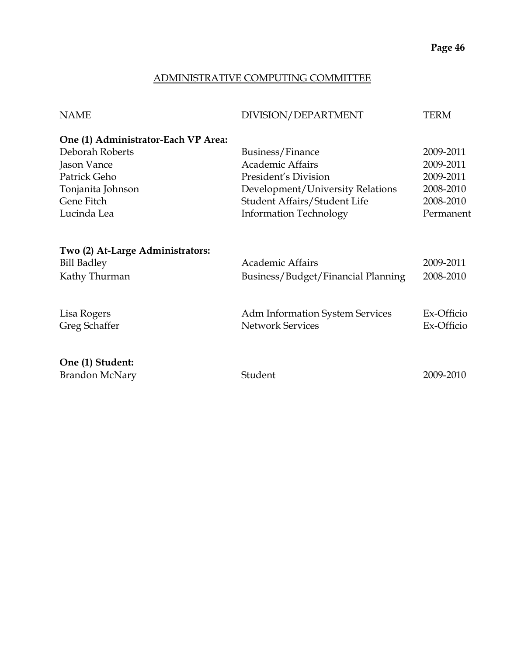#### ADMINISTRATIVE COMPUTING COMMITTEE

| <b>NAME</b>                         | DIVISION/DEPARTMENT                    | <b>TERM</b> |
|-------------------------------------|----------------------------------------|-------------|
| One (1) Administrator-Each VP Area: |                                        |             |
| Deborah Roberts                     | Business/Finance                       | 2009-2011   |
| Jason Vance                         | <b>Academic Affairs</b>                | 2009-2011   |
| Patrick Geho                        | President's Division                   | 2009-2011   |
| Tonjanita Johnson                   | Development/University Relations       | 2008-2010   |
| Gene Fitch                          | Student Affairs/Student Life           | 2008-2010   |
| Lucinda Lea                         | <b>Information Technology</b>          | Permanent   |
|                                     |                                        |             |
| Two (2) At-Large Administrators:    |                                        |             |
| <b>Bill Badley</b>                  | <b>Academic Affairs</b>                | 2009-2011   |
| Kathy Thurman                       | Business/Budget/Financial Planning     | 2008-2010   |
|                                     |                                        |             |
| Lisa Rogers                         | <b>Adm Information System Services</b> | Ex-Officio  |
| Greg Schaffer                       | <b>Network Services</b>                | Ex-Officio  |
|                                     |                                        |             |
| One (1) Student:                    |                                        |             |
| <b>Brandon McNary</b>               | Student                                | 2009-2010   |